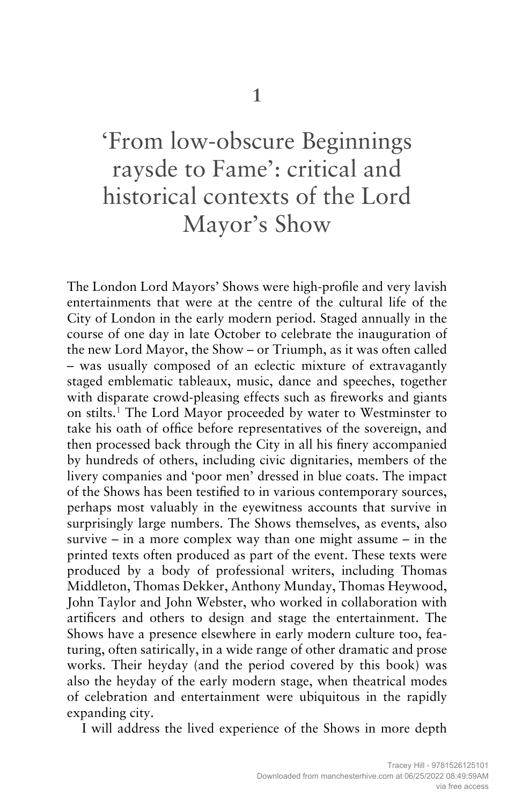## 'From low- obscure Beginnings raysde to Fame': critical and historical contexts of the Lord Mayor's Show

The London Lord Mayors' Shows were high-profile and very lavish entertainments that were at the centre of the cultural life of the City of London in the early modern period. Staged annually in the course of one day in late October to celebrate the inauguration of the new Lord Mayor, the Show – or Triumph, as it was often called – was usually composed of an eclectic mixture of extravagantly staged emblematic tableaux, music, dance and speeches, together with disparate crowd-pleasing effects such as fireworks and giants on stilts.1 The Lord Mayor proceeded by water to Westminster to take his oath of office before representatives of the sovereign, and then processed back through the City in all his finery accompanied by hundreds of others, including civic dignitaries, members of the livery companies and 'poor men' dressed in blue coats. The impact of the Shows has been testified to in various contemporary sources, perhaps most valuably in the eyewitness accounts that survive in surprisingly large numbers. The Shows themselves, as events, also survive – in a more complex way than one might assume – in the printed texts often produced as part of the event. These texts were produced by a body of professional writers, including Thomas Middleton, Thomas Dekker, Anthony Munday, Thomas Heywood, John Taylor and John Webster, who worked in collaboration with artificers and others to design and stage the entertainment. The Shows have a presence elsewhere in early modern culture too, featuring, often satirically, in a wide range of other dramatic and prose works. Their heyday (and the period covered by this book) was also the heyday of the early modern stage, when theatrical modes of celebration and entertainment were ubiquitous in the rapidly expanding city.

I will address the lived experience of the Shows in more depth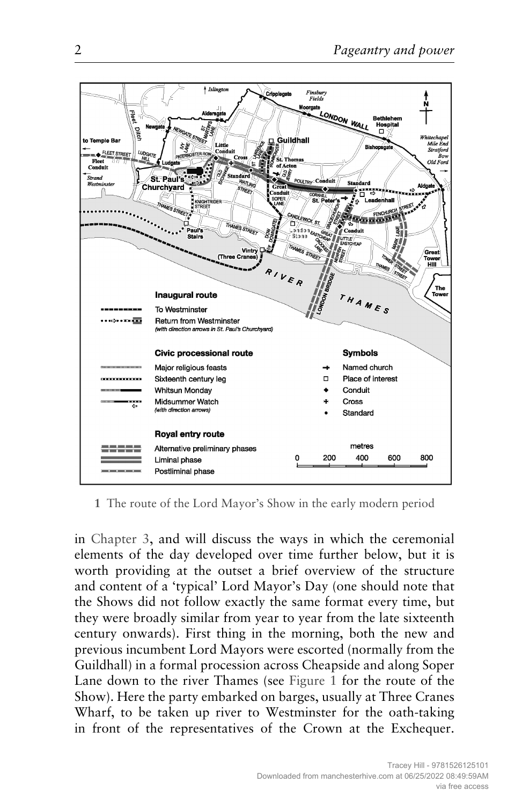

**1** The route of the Lord Mayor's Show in the early modern period

in Chapter 3, and will discuss the ways in which the ceremonial elements of the day developed over time further below, but it is worth providing at the outset a brief overview of the structure and content of a 'typical' Lord Mayor's Day (one should note that the Shows did not follow exactly the same format every time, but they were broadly similar from year to year from the late sixteenth century onwards). First thing in the morning, both the new and previous incumbent Lord Mayors were escorted (normally from the Guildhall) in a formal procession across Cheapside and along Soper Lane down to the river Thames (see Figure 1 for the route of the Show). Here the party embarked on barges, usually at Three Cranes Wharf, to be taken up river to Westminster for the oath-taking in front of the representatives of the Crown at the Exchequer.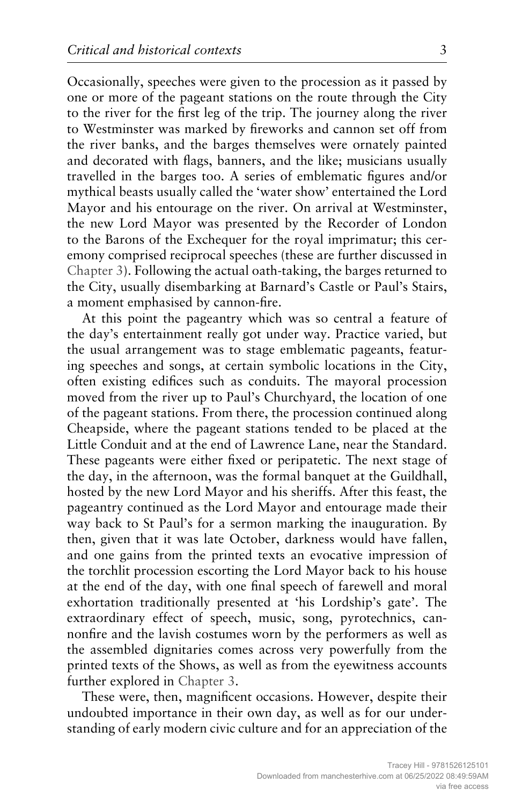Occasionally, speeches were given to the procession as it passed by one or more of the pageant stations on the route through the City to the river for the first leg of the trip. The journey along the river to Westminster was marked by fireworks and cannon set off from the river banks, and the barges themselves were ornately painted and decorated with flags, banners, and the like; musicians usually travelled in the barges too. A series of emblematic figures and/or mythical beasts usually called the 'water show' entertained the Lord Mayor and his entourage on the river. On arrival at Westminster, the new Lord Mayor was presented by the Recorder of London to the Barons of the Exchequer for the royal imprimatur; this ceremony comprised reciprocal speeches (these are further discussed in Chapter 3). Following the actual oath- taking, the barges returned to the City, usually disembarking at Barnard's Castle or Paul's Stairs, a moment emphasised by cannon-fire.

At this point the pageantry which was so central a feature of the day's entertainment really got under way. Practice varied, but the usual arrangement was to stage emblematic pageants, featuring speeches and songs, at certain symbolic locations in the City, often existing edifices such as conduits. The mayoral procession moved from the river up to Paul's Churchyard, the location of one of the pageant stations. From there, the procession continued along Cheapside, where the pageant stations tended to be placed at the Little Conduit and at the end of Lawrence Lane, near the Standard. These pageants were either fixed or peripatetic. The next stage of the day, in the afternoon, was the formal banquet at the Guildhall, hosted by the new Lord Mayor and his sheriffs. After this feast, the pageantry continued as the Lord Mayor and entourage made their way back to St Paul's for a sermon marking the inauguration. By then, given that it was late October, darkness would have fallen, and one gains from the printed texts an evocative impression of the torchlit procession escorting the Lord Mayor back to his house at the end of the day, with one final speech of farewell and moral exhortation traditionally presented at 'his Lordship's gate'. The extraordinary effect of speech, music, song, pyrotechnics, cannonfire and the lavish costumes worn by the performers as well as the assembled dignitaries comes across very powerfully from the printed texts of the Shows, as well as from the eyewitness accounts further explored in Chapter 3.

These were, then, magnificent occasions. However, despite their undoubted importance in their own day, as well as for our understanding of early modern civic culture and for an appreciation of the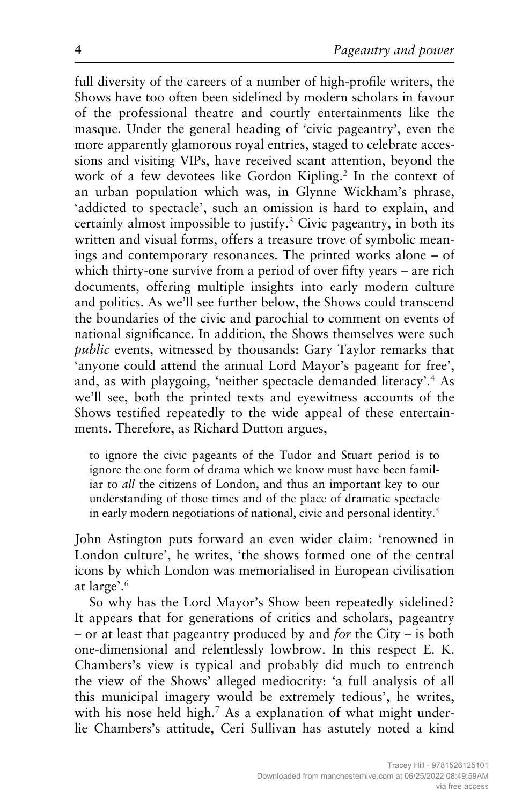full diversity of the careers of a number of high-profile writers, the Shows have too often been sidelined by modern scholars in favour of the professional theatre and courtly entertainments like the masque. Under the general heading of 'civic pageantry', even the more apparently glamorous royal entries, staged to celebrate accessions and visiting VIPs, have received scant attention, beyond the work of a few devotees like Gordon Kipling.<sup>2</sup> In the context of an urban population which was, in Glynne Wickham's phrase, 'addicted to spectacle', such an omission is hard to explain, and certainly almost impossible to justify.3 Civic pageantry, in both its written and visual forms, offers a treasure trove of symbolic meanings and contemporary resonances. The printed works alone – of which thirty-one survive from a period of over fifty years – are rich documents, offering multiple insights into early modern culture and politics. As we'll see further below, the Shows could transcend the boundaries of the civic and parochial to comment on events of national significance. In addition, the Shows themselves were such *public* events, witnessed by thousands: Gary Taylor remarks that 'anyone could attend the annual Lord Mayor's pageant for free', and, as with playgoing, 'neither spectacle demanded literacy'.4 As we'll see, both the printed texts and eyewitness accounts of the Shows testified repeatedly to the wide appeal of these entertainments. Therefore, as Richard Dutton argues,

to ignore the civic pageants of the Tudor and Stuart period is to ignore the one form of drama which we know must have been familiar to *all* the citizens of London, and thus an important key to our understanding of those times and of the place of dramatic spectacle in early modern negotiations of national, civic and personal identity.<sup>5</sup>

John Astington puts forward an even wider claim: 'renowned in London culture', he writes, 'the shows formed one of the central icons by which London was memorialised in European civilisation at large'.6

So why has the Lord Mayor's Show been repeatedly sidelined? It appears that for generations of critics and scholars, pageantry – or at least that pageantry produced by and *for* the City – is both one- dimensional and relentlessly lowbrow. In this respect E. K. Chambers's view is typical and probably did much to entrench the view of the Shows' alleged mediocrity: 'a full analysis of all this municipal imagery would be extremely tedious', he writes, with his nose held high.<sup>7</sup> As a explanation of what might underlie Chambers's attitude, Ceri Sullivan has astutely noted a kind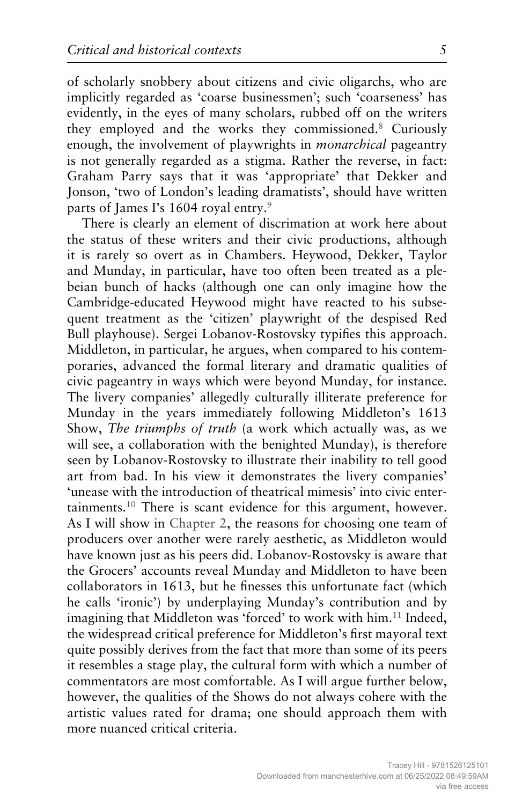of scholarly snobbery about citizens and civic oligarchs, who are implicitly regarded as 'coarse businessmen'; such 'coarseness' has evidently, in the eyes of many scholars, rubbed off on the writers they employed and the works they commissioned.8 Curiously enough, the involvement of playwrights in *monarchical* pageantry is not generally regarded as a stigma. Rather the reverse, in fact: Graham Parry says that it was 'appropriate' that Dekker and Jonson, 'two of London's leading dramatists', should have written parts of James I's 1604 royal entry.<sup>9</sup>

There is clearly an element of discrimation at work here about the status of these writers and their civic productions, although it is rarely so overt as in Chambers. Heywood, Dekker, Taylor and Munday, in particular, have too often been treated as a plebeian bunch of hacks (although one can only imagine how the Cambridge- educated Heywood might have reacted to his subsequent treatment as the 'citizen' playwright of the despised Red Bull playhouse). Sergei Lobanov-Rostovsky typifies this approach. Middleton, in particular, he argues, when compared to his contemporaries, advanced the formal literary and dramatic qualities of civic pageantry in ways which were beyond Munday, for instance. The livery companies' allegedly culturally illiterate preference for Munday in the years immediately following Middleton's 1613 Show, *The triumphs of truth* (a work which actually was, as we will see, a collaboration with the benighted Munday), is therefore seen by Lobanov-Rostovsky to illustrate their inability to tell good art from bad. In his view it demonstrates the livery companies' 'unease with the introduction of theatrical mimesis' into civic entertainments.10 There is scant evidence for this argument, however. As I will show in Chapter 2, the reasons for choosing one team of producers over another were rarely aesthetic, as Middleton would have known just as his peers did. Lobanov-Rostovsky is aware that the Grocers' accounts reveal Munday and Middleton to have been collaborators in 1613, but he finesses this unfortunate fact (which he calls 'ironic') by underplaying Munday's contribution and by imagining that Middleton was 'forced' to work with him.<sup>11</sup> Indeed, the widespread critical preference for Middleton's first mayoral text quite possibly derives from the fact that more than some of its peers it resembles a stage play, the cultural form with which a number of commentators are most comfortable. As I will argue further below, however, the qualities of the Shows do not always cohere with the artistic values rated for drama; one should approach them with more nuanced critical criteria.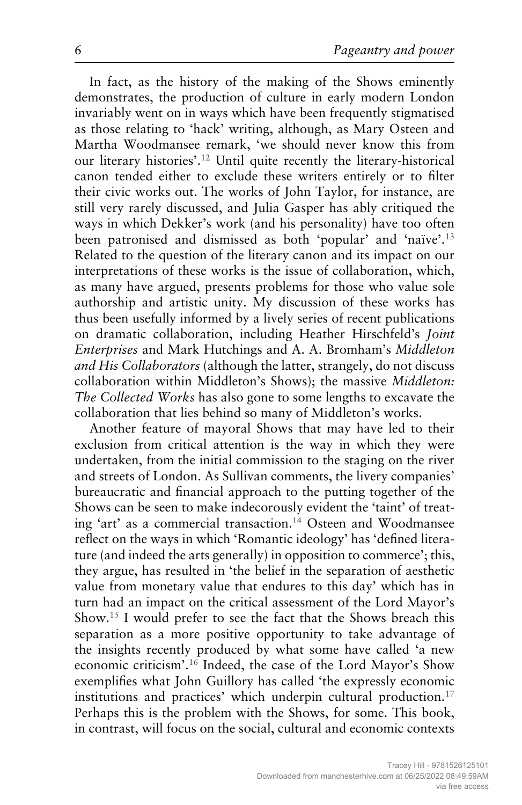In fact, as the history of the making of the Shows eminently demonstrates, the production of culture in early modern London invariably went on in ways which have been frequently stigmatised as those relating to 'hack' writing, although, as Mary Osteen and Martha Woodmansee remark, 'we should never know this from our literary histories'.<sup>12</sup> Until quite recently the literary-historical canon tended either to exclude these writers entirely or to filter their civic works out. The works of John Taylor, for instance, are still very rarely discussed, and Julia Gasper has ably critiqued the ways in which Dekker's work (and his personality) have too often been patronised and dismissed as both 'popular' and 'naïve'.13 Related to the question of the literary canon and its impact on our interpretations of these works is the issue of collaboration, which, as many have argued, presents problems for those who value sole authorship and artistic unity. My discussion of these works has thus been usefully informed by a lively series of recent publications on dramatic collaboration, including Heather Hirschfeld's *Joint Enterprises* and Mark Hutchings and A. A. Bromham's *Middleton and His Collaborators* (although the latter, strangely, do not discuss collaboration within Middleton's Shows); the massive *Middleton: The Collected Works* has also gone to some lengths to excavate the collaboration that lies behind so many of Middleton's works.

Another feature of mayoral Shows that may have led to their exclusion from critical attention is the way in which they were undertaken, from the initial commission to the staging on the river and streets of London. As Sullivan comments, the livery companies' bureaucratic and financial approach to the putting together of the Shows can be seen to make indecorously evident the 'taint' of treating 'art' as a commercial transaction.<sup>14</sup> Osteen and Woodmansee reflect on the ways in which 'Romantic ideology' has 'defined literature (and indeed the arts generally) in opposition to commerce'; this, they argue, has resulted in 'the belief in the separation of aesthetic value from monetary value that endures to this day' which has in turn had an impact on the critical assessment of the Lord Mayor's Show.15 I would prefer to see the fact that the Shows breach this separation as a more positive opportunity to take advantage of the insights recently produced by what some have called 'a new economic criticism'.16 Indeed, the case of the Lord Mayor's Show exemplifies what John Guillory has called 'the expressly economic institutions and practices' which underpin cultural production.<sup>17</sup> Perhaps this is the problem with the Shows, for some. This book, in contrast, will focus on the social, cultural and economic contexts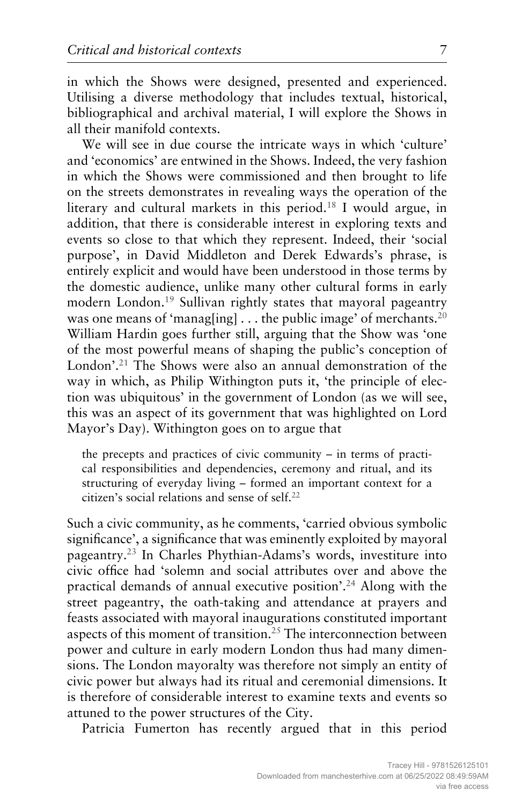in which the Shows were designed, presented and experienced. Utilising a diverse methodology that includes textual, historical, bibliographical and archival material, I will explore the Shows in all their manifold contexts.

We will see in due course the intricate ways in which 'culture' and 'economics' are entwined in the Shows. Indeed, the very fashion in which the Shows were commissioned and then brought to life on the streets demonstrates in revealing ways the operation of the literary and cultural markets in this period.18 I would argue, in addition, that there is considerable interest in exploring texts and events so close to that which they represent. Indeed, their 'social purpose', in David Middleton and Derek Edwards's phrase, is entirely explicit and would have been understood in those terms by the domestic audience, unlike many other cultural forms in early modern London.19 Sullivan rightly states that mayoral pageantry was one means of 'manag[ing]  $\ldots$  the public image' of merchants.<sup>20</sup> William Hardin goes further still, arguing that the Show was 'one of the most powerful means of shaping the public's conception of London'.21 The Shows were also an annual demonstration of the way in which, as Philip Withington puts it, 'the principle of election was ubiquitous' in the government of London (as we will see, this was an aspect of its government that was highlighted on Lord Mayor's Day). Withington goes on to argue that

the precepts and practices of civic community – in terms of practical responsibilities and dependencies, ceremony and ritual, and its structuring of everyday living – formed an important context for a citizen's social relations and sense of self.22

Such a civic community, as he comments, 'carried obvious symbolic significance', a significance that was eminently exploited by mayoral pageantry.23 In Charles Phythian- Adams's words, investiture into civic office had 'solemn and social attributes over and above the practical demands of annual executive position'.24 Along with the street pageantry, the oath-taking and attendance at prayers and feasts associated with mayoral inaugurations constituted important aspects of this moment of transition.25 The interconnection between power and culture in early modern London thus had many dimensions. The London mayoralty was therefore not simply an entity of civic power but always had its ritual and ceremonial dimensions. It is therefore of considerable interest to examine texts and events so attuned to the power structures of the City.

Patricia Fumerton has recently argued that in this period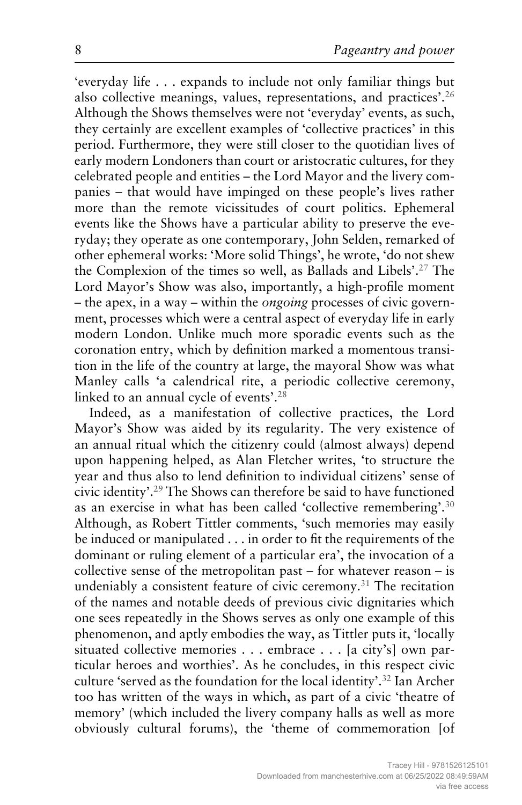'everyday life . . . expands to include not only familiar things but also collective meanings, values, representations, and practices'.26 Although the Shows themselves were not 'everyday' events, as such, they certainly are excellent examples of 'collective practices' in this period. Furthermore, they were still closer to the quotidian lives of early modern Londoners than court or aristocratic cultures, for they celebrated people and entities – the Lord Mayor and the livery companies – that would have impinged on these people's lives rather more than the remote vicissitudes of court politics. Ephemeral events like the Shows have a particular ability to preserve the everyday; they operate as one contemporary, John Selden, remarked of other ephemeral works: 'More solid Things', he wrote, 'do not shew the Complexion of the times so well, as Ballads and Libels'.27 The Lord Mayor's Show was also, importantly, a high-profile moment – the apex, in a way – within the *ongoing* processes of civic government, processes which were a central aspect of everyday life in early modern London. Unlike much more sporadic events such as the coronation entry, which by definition marked a momentous transition in the life of the country at large, the mayoral Show was what Manley calls 'a calendrical rite, a periodic collective ceremony, linked to an annual cycle of events'.28

Indeed, as a manifestation of collective practices, the Lord Mayor's Show was aided by its regularity. The very existence of an annual ritual which the citizenry could (almost always) depend upon happening helped, as Alan Fletcher writes, 'to structure the year and thus also to lend definition to individual citizens' sense of civic identity'.29 The Shows can therefore be said to have functioned as an exercise in what has been called 'collective remembering'.30 Although, as Robert Tittler comments, 'such memories may easily be induced or manipulated . . . in order to fit the requirements of the dominant or ruling element of a particular era', the invocation of a collective sense of the metropolitan past – for whatever reason – is undeniably a consistent feature of civic ceremony.31 The recitation of the names and notable deeds of previous civic dignitaries which one sees repeatedly in the Shows serves as only one example of this phenomenon, and aptly embodies the way, as Tittler puts it, 'locally situated collective memories . . . embrace . . . [a city's] own particular heroes and worthies'. As he concludes, in this respect civic culture 'served as the foundation for the local identity'.32 Ian Archer too has written of the ways in which, as part of a civic 'theatre of memory' (which included the livery company halls as well as more obviously cultural forums), the 'theme of commemoration [of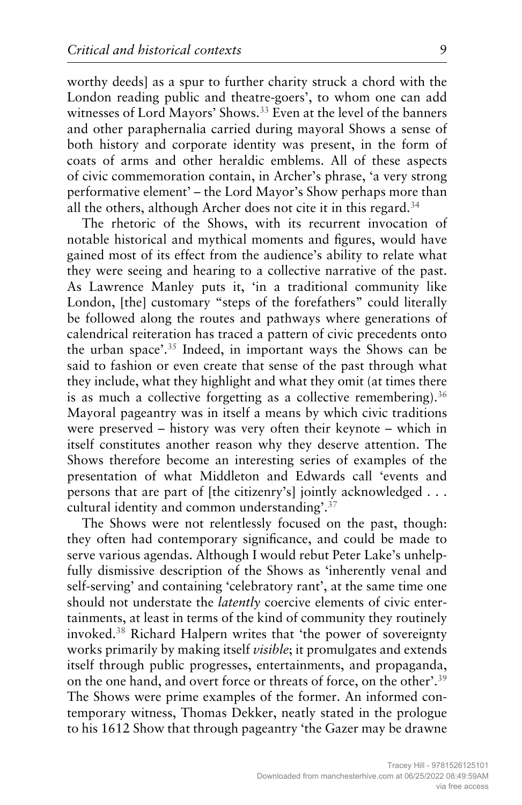worthy deeds] as a spur to further charity struck a chord with the London reading public and theatre-goers', to whom one can add witnesses of Lord Mayors' Shows.<sup>33</sup> Even at the level of the banners and other paraphernalia carried during mayoral Shows a sense of both history and corporate identity was present, in the form of coats of arms and other heraldic emblems. All of these aspects of civic commemoration contain, in Archer's phrase, 'a very strong performative element' – the Lord Mayor's Show perhaps more than all the others, although Archer does not cite it in this regard.34

The rhetoric of the Shows, with its recurrent invocation of notable historical and mythical moments and figures, would have gained most of its effect from the audience's ability to relate what they were seeing and hearing to a collective narrative of the past. As Lawrence Manley puts it, 'in a traditional community like London, [the] customary "steps of the forefathers" could literally be followed along the routes and pathways where generations of calendrical reiteration has traced a pattern of civic precedents onto the urban space'.35 Indeed, in important ways the Shows can be said to fashion or even create that sense of the past through what they include, what they highlight and what they omit (at times there is as much a collective forgetting as a collective remembering).  $36$ Mayoral pageantry was in itself a means by which civic traditions were preserved – history was very often their keynote – which in itself constitutes another reason why they deserve attention. The Shows therefore become an interesting series of examples of the presentation of what Middleton and Edwards call 'events and persons that are part of [the citizenry's] jointly acknowledged . . . cultural identity and common understanding'.37

The Shows were not relentlessly focused on the past, though: they often had contemporary significance, and could be made to serve various agendas. Although I would rebut Peter Lake's unhelpfully dismissive description of the Shows as 'inherently venal and self- serving' and containing 'celebratory rant', at the same time one should not understate the *latently* coercive elements of civic entertainments, at least in terms of the kind of community they routinely invoked.38 Richard Halpern writes that 'the power of sovereignty works primarily by making itself *visible*; it promulgates and extends itself through public progresses, entertainments, and propaganda, on the one hand, and overt force or threats of force, on the other'.39 The Shows were prime examples of the former. An informed contemporary witness, Thomas Dekker, neatly stated in the prologue to his 1612 Show that through pageantry 'the Gazer may be drawne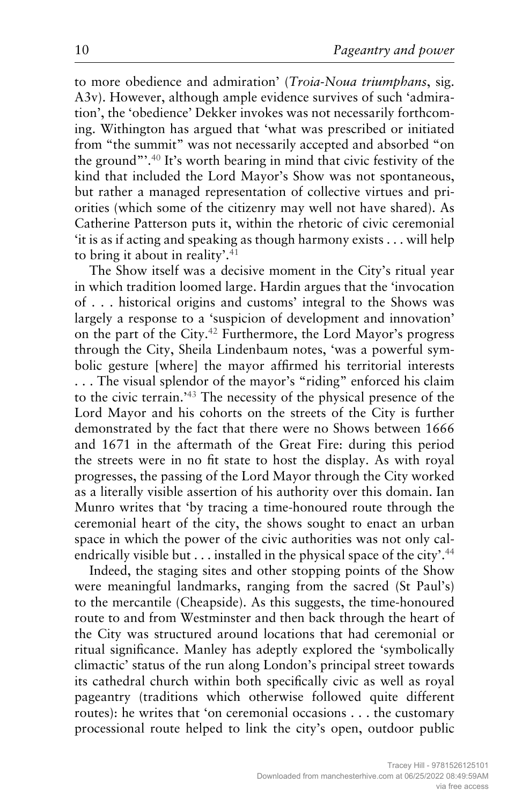to more obedience and admiration' (*Troia- Noua triumphans*, sig. A3v). However, although ample evidence survives of such 'admiration', the 'obedience' Dekker invokes was not necessarily forthcoming. Withington has argued that 'what was prescribed or initiated from "the summit" was not necessarily accepted and absorbed "on the ground"'.40 It's worth bearing in mind that civic festivity of the kind that included the Lord Mayor's Show was not spontaneous, but rather a managed representation of collective virtues and priorities (which some of the citizenry may well not have shared). As Catherine Patterson puts it, within the rhetoric of civic ceremonial 'it is as if acting and speaking as though harmony exists . . . will help to bring it about in reality'.<sup>41</sup>

The Show itself was a decisive moment in the City's ritual year in which tradition loomed large. Hardin argues that the 'invocation of . . . historical origins and customs' integral to the Shows was largely a response to a 'suspicion of development and innovation' on the part of the City.42 Furthermore, the Lord Mayor's progress through the City, Sheila Lindenbaum notes, 'was a powerful symbolic gesture [where] the mayor affirmed his territorial interests . . . The visual splendor of the mayor's "riding" enforced his claim to the civic terrain.'43 The necessity of the physical presence of the Lord Mayor and his cohorts on the streets of the City is further demonstrated by the fact that there were no Shows between 1666 and 1671 in the aftermath of the Great Fire: during this period the streets were in no fit state to host the display. As with royal progresses, the passing of the Lord Mayor through the City worked as a literally visible assertion of his authority over this domain. Ian Munro writes that 'by tracing a time-honoured route through the ceremonial heart of the city, the shows sought to enact an urban space in which the power of the civic authorities was not only calendrically visible but  $\dots$  installed in the physical space of the city'.<sup>44</sup>

Indeed, the staging sites and other stopping points of the Show were meaningful landmarks, ranging from the sacred (St Paul's) to the mercantile (Cheapside). As this suggests, the time- honoured route to and from Westminster and then back through the heart of the City was structured around locations that had ceremonial or ritual significance. Manley has adeptly explored the 'symbolically climactic' status of the run along London's principal street towards its cathedral church within both specifically civic as well as royal pageantry (traditions which otherwise followed quite different routes): he writes that 'on ceremonial occasions . . . the customary processional route helped to link the city's open, outdoor public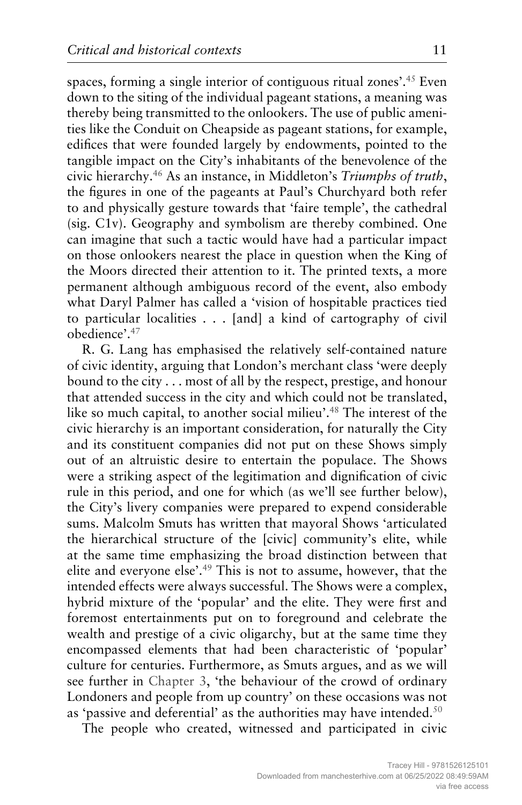spaces, forming a single interior of contiguous ritual zones'.45 Even down to the siting of the individual pageant stations, a meaning was thereby being transmitted to the onlookers. The use of public amenities like the Conduit on Cheapside as pageant stations, for example, edifices that were founded largely by endowments, pointed to the tangible impact on the City's inhabitants of the benevolence of the civic hierarchy.46 As an instance, in Middleton's *Triumphs of truth*, the figures in one of the pageants at Paul's Churchyard both refer to and physically gesture towards that 'faire temple', the cathedral (sig. C1v). Geography and symbolism are thereby combined. One can imagine that such a tactic would have had a particular impact on those onlookers nearest the place in question when the King of the Moors directed their attention to it. The printed texts, a more permanent although ambiguous record of the event, also embody what Daryl Palmer has called a 'vision of hospitable practices tied to particular localities . . . [and] a kind of cartography of civil obedience'.47

R. G. Lang has emphasised the relatively self-contained nature of civic identity, arguing that London's merchant class 'were deeply bound to the city . . . most of all by the respect, prestige, and honour that attended success in the city and which could not be translated, like so much capital, to another social milieu'.<sup>48</sup> The interest of the civic hierarchy is an important consideration, for naturally the City and its constituent companies did not put on these Shows simply out of an altruistic desire to entertain the populace. The Shows were a striking aspect of the legitimation and dignification of civic rule in this period, and one for which (as we'll see further below), the City's livery companies were prepared to expend considerable sums. Malcolm Smuts has written that mayoral Shows 'articulated the hierarchical structure of the [civic] community's elite, while at the same time emphasizing the broad distinction between that elite and everyone else'.49 This is not to assume, however, that the intended effects were always successful. The Shows were a complex, hybrid mixture of the 'popular' and the elite. They were first and foremost entertainments put on to foreground and celebrate the wealth and prestige of a civic oligarchy, but at the same time they encompassed elements that had been characteristic of 'popular' culture for centuries. Furthermore, as Smuts argues, and as we will see further in Chapter 3, 'the behaviour of the crowd of ordinary Londoners and people from up country' on these occasions was not as 'passive and deferential' as the authorities may have intended.<sup>50</sup>

The people who created, witnessed and participated in civic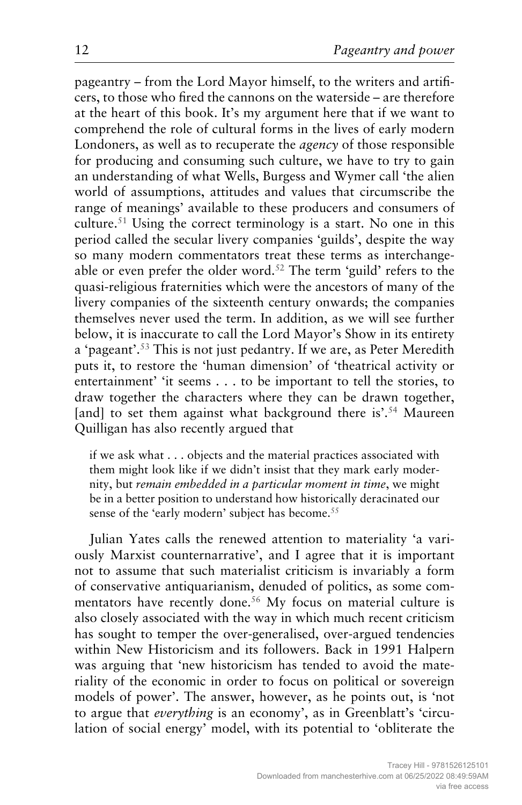pageantry – from the Lord Mayor himself, to the writers and artificers, to those who fired the cannons on the waterside – are therefore at the heart of this book. It's my argument here that if we want to comprehend the role of cultural forms in the lives of early modern Londoners, as well as to recuperate the *agency* of those responsible for producing and consuming such culture, we have to try to gain an understanding of what Wells, Burgess and Wymer call 'the alien world of assumptions, attitudes and values that circumscribe the range of meanings' available to these producers and consumers of culture.51 Using the correct terminology is a start. No one in this period called the secular livery companies 'guilds', despite the way so many modern commentators treat these terms as interchangeable or even prefer the older word.52 The term 'guild' refers to the quasi- religious fraternities which were the ancestors of many of the livery companies of the sixteenth century onwards; the companies themselves never used the term. In addition, as we will see further below, it is inaccurate to call the Lord Mayor's Show in its entirety a 'pageant'.53 This is not just pedantry. If we are, as Peter Meredith puts it, to restore the 'human dimension' of 'theatrical activity or entertainment' 'it seems . . . to be important to tell the stories, to draw together the characters where they can be drawn together, [and] to set them against what background there is'.<sup>54</sup> Maureen Quilligan has also recently argued that

if we ask what . . . objects and the material practices associated with them might look like if we didn't insist that they mark early modernity, but *remain embedded in a particular moment in time*, we might be in a better position to understand how historically deracinated our sense of the 'early modern' subject has become.<sup>55</sup>

Julian Yates calls the renewed attention to materiality 'a variously Marxist counternarrative', and I agree that it is important not to assume that such materialist criticism is invariably a form of conservative antiquarianism, denuded of politics, as some commentators have recently done.<sup>56</sup> My focus on material culture is also closely associated with the way in which much recent criticism has sought to temper the over-generalised, over-argued tendencies within New Historicism and its followers. Back in 1991 Halpern was arguing that 'new historicism has tended to avoid the materiality of the economic in order to focus on political or sovereign models of power'. The answer, however, as he points out, is 'not to argue that *everything* is an economy', as in Greenblatt's 'circulation of social energy' model, with its potential to 'obliterate the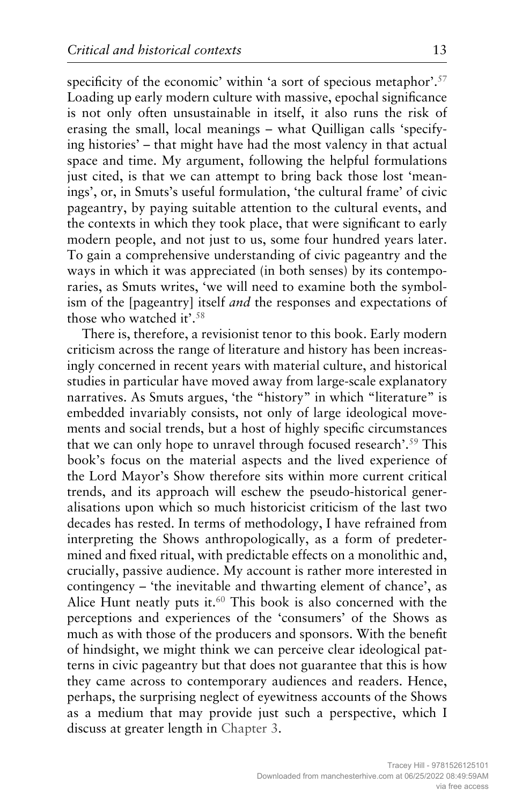specificity of the economic' within 'a sort of specious metaphor'.<sup>57</sup> Loading up early modern culture with massive, epochal significance is not only often unsustainable in itself, it also runs the risk of erasing the small, local meanings – what Quilligan calls 'specifying histories' – that might have had the most valency in that actual space and time. My argument, following the helpful formulations just cited, is that we can attempt to bring back those lost 'meanings', or, in Smuts's useful formulation, 'the cultural frame' of civic pageantry, by paying suitable attention to the cultural events, and the contexts in which they took place, that were significant to early modern people, and not just to us, some four hundred years later. To gain a comprehensive understanding of civic pageantry and the ways in which it was appreciated (in both senses) by its contemporaries, as Smuts writes, 'we will need to examine both the symbolism of the [pageantry] itself *and* the responses and expectations of those who watched it'.<sup>58</sup>

There is, therefore, a revisionist tenor to this book. Early modern criticism across the range of literature and history has been increasingly concerned in recent years with material culture, and historical studies in particular have moved away from large-scale explanatory narratives. As Smuts argues, 'the "history" in which "literature" is embedded invariably consists, not only of large ideological movements and social trends, but a host of highly specific circumstances that we can only hope to unravel through focused research'.59 This book's focus on the material aspects and the lived experience of the Lord Mayor's Show therefore sits within more current critical trends, and its approach will eschew the pseudo-historical generalisations upon which so much historicist criticism of the last two decades has rested. In terms of methodology, I have refrained from interpreting the Shows anthropologically, as a form of predetermined and fixed ritual, with predictable effects on a monolithic and, crucially, passive audience. My account is rather more interested in contingency – 'the inevitable and thwarting element of chance', as Alice Hunt neatly puts it.<sup>60</sup> This book is also concerned with the perceptions and experiences of the 'consumers' of the Shows as much as with those of the producers and sponsors. With the benefit of hindsight, we might think we can perceive clear ideological patterns in civic pageantry but that does not guarantee that this is how they came across to contemporary audiences and readers. Hence, perhaps, the surprising neglect of eyewitness accounts of the Shows as a medium that may provide just such a perspective, which I discuss at greater length in Chapter 3.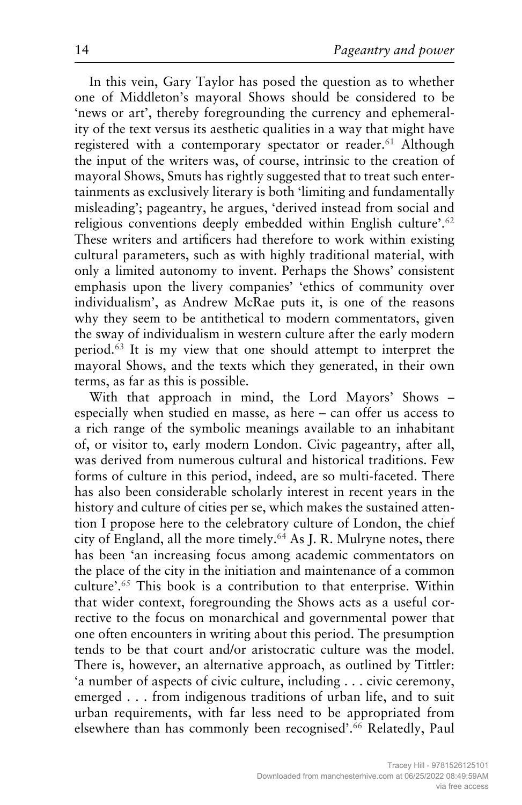In this vein, Gary Taylor has posed the question as to whether one of Middleton's mayoral Shows should be considered to be 'news or art', thereby foregrounding the currency and ephemerality of the text versus its aesthetic qualities in a way that might have registered with a contemporary spectator or reader.<sup>61</sup> Although the input of the writers was, of course, intrinsic to the creation of mayoral Shows, Smuts has rightly suggested that to treat such entertainments as exclusively literary is both 'limiting and fundamentally misleading'; pageantry, he argues, 'derived instead from social and religious conventions deeply embedded within English culture'.62 These writers and artificers had therefore to work within existing cultural parameters, such as with highly traditional material, with only a limited autonomy to invent. Perhaps the Shows' consistent emphasis upon the livery companies' 'ethics of community over individualism', as Andrew McRae puts it, is one of the reasons why they seem to be antithetical to modern commentators, given the sway of individualism in western culture after the early modern period.63 It is my view that one should attempt to interpret the mayoral Shows, and the texts which they generated, in their own terms, as far as this is possible.

With that approach in mind, the Lord Mayors' Shows – especially when studied en masse, as here – can offer us access to a rich range of the symbolic meanings available to an inhabitant of, or visitor to, early modern London. Civic pageantry, after all, was derived from numerous cultural and historical traditions. Few forms of culture in this period, indeed, are so multi-faceted. There has also been considerable scholarly interest in recent years in the history and culture of cities per se, which makes the sustained attention I propose here to the celebratory culture of London, the chief city of England, all the more timely.64 As J. R. Mulryne notes, there has been 'an increasing focus among academic commentators on the place of the city in the initiation and maintenance of a common culture'.65 This book is a contribution to that enterprise. Within that wider context, foregrounding the Shows acts as a useful corrective to the focus on monarchical and governmental power that one often encounters in writing about this period. The presumption tends to be that court and/or aristocratic culture was the model. There is, however, an alternative approach, as outlined by Tittler: 'a number of aspects of civic culture, including . . . civic ceremony, emerged . . . from indigenous traditions of urban life, and to suit urban requirements, with far less need to be appropriated from elsewhere than has commonly been recognised'.<sup>66</sup> Relatedly, Paul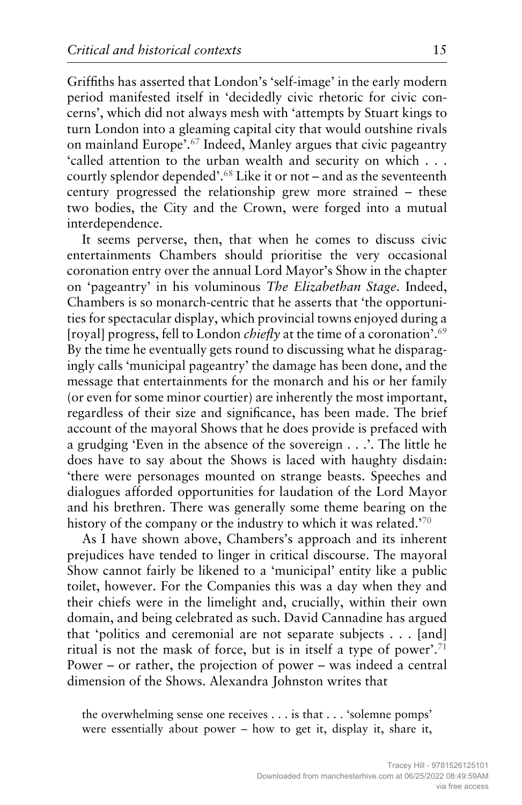Griffiths has asserted that London's 'self-image' in the early modern period manifested itself in 'decidedly civic rhetoric for civic concerns', which did not always mesh with 'attempts by Stuart kings to turn London into a gleaming capital city that would outshine rivals on mainland Europe'.67 Indeed, Manley argues that civic pageantry 'called attention to the urban wealth and security on which . . . courtly splendor depended'.68 Like it or not – and as the seventeenth century progressed the relationship grew more strained – these two bodies, the City and the Crown, were forged into a mutual interdependence.

It seems perverse, then, that when he comes to discuss civic entertainments Chambers should prioritise the very occasional coronation entry over the annual Lord Mayor's Show in the chapter on 'pageantry' in his voluminous *The Elizabethan Stage*. Indeed, Chambers is so monarch- centric that he asserts that 'the opportunities for spectacular display, which provincial towns enjoyed during a [royal] progress, fell to London *chiefl y* at the time of a coronation'.69 By the time he eventually gets round to discussing what he disparagingly calls 'municipal pageantry' the damage has been done, and the message that entertainments for the monarch and his or her family (or even for some minor courtier) are inherently the most important, regardless of their size and significance, has been made. The brief account of the mayoral Shows that he does provide is prefaced with a grudging 'Even in the absence of the sovereign . . .'. The little he does have to say about the Shows is laced with haughty disdain: 'there were personages mounted on strange beasts. Speeches and dialogues afforded opportunities for laudation of the Lord Mayor and his brethren. There was generally some theme bearing on the history of the company or the industry to which it was related.'70

As I have shown above, Chambers's approach and its inherent prejudices have tended to linger in critical discourse. The mayoral Show cannot fairly be likened to a 'municipal' entity like a public toilet, however. For the Companies this was a day when they and their chiefs were in the limelight and, crucially, within their own domain, and being celebrated as such. David Cannadine has argued that 'politics and ceremonial are not separate subjects . . . [and] ritual is not the mask of force, but is in itself a type of power'.71 Power – or rather, the projection of power – was indeed a central dimension of the Shows. Alexandra Johnston writes that

the overwhelming sense one receives . . . is that . . . 'solemne pomps' were essentially about power – how to get it, display it, share it,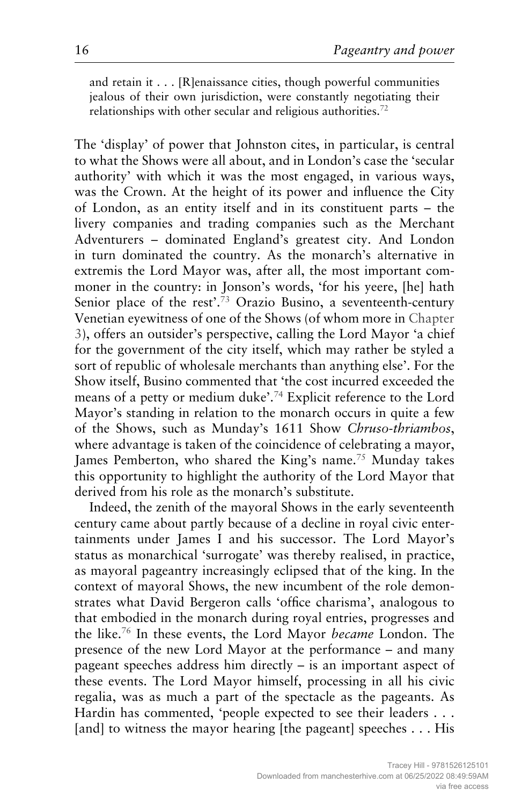and retain it . . . [R]enaissance cities, though powerful communities jealous of their own jurisdiction, were constantly negotiating their relationships with other secular and religious authorities.72

The 'display' of power that Johnston cites, in particular, is central to what the Shows were all about, and in London's case the 'secular authority' with which it was the most engaged, in various ways, was the Crown. At the height of its power and influence the City of London, as an entity itself and in its constituent parts – the livery companies and trading companies such as the Merchant Adventurers – dominated England's greatest city. And London in turn dominated the country. As the monarch's alternative in extremis the Lord Mayor was, after all, the most important commoner in the country: in Jonson's words, 'for his yeere, [he] hath Senior place of the rest'.<sup>73</sup> Orazio Busino, a seventeenth-century Venetian eyewitness of one of the Shows (of whom more in Chapter 3), offers an outsider's perspective, calling the Lord Mayor 'a chief for the government of the city itself, which may rather be styled a sort of republic of wholesale merchants than anything else'. For the Show itself, Busino commented that 'the cost incurred exceeded the means of a petty or medium duke'.74 Explicit reference to the Lord Mayor's standing in relation to the monarch occurs in quite a few of the Shows, such as Munday's 1611 Show *Chruso- thriambos*, where advantage is taken of the coincidence of celebrating a mayor, James Pemberton, who shared the King's name.<sup>75</sup> Munday takes this opportunity to highlight the authority of the Lord Mayor that derived from his role as the monarch's substitute.

Indeed, the zenith of the mayoral Shows in the early seventeenth century came about partly because of a decline in royal civic entertainments under James I and his successor. The Lord Mayor's status as monarchical 'surrogate' was thereby realised, in practice, as mayoral pageantry increasingly eclipsed that of the king. In the context of mayoral Shows, the new incumbent of the role demonstrates what David Bergeron calls 'office charisma', analogous to that embodied in the monarch during royal entries, progresses and the like.76 In these events, the Lord Mayor *became* London. The presence of the new Lord Mayor at the performance – and many pageant speeches address him directly – is an important aspect of these events. The Lord Mayor himself, processing in all his civic regalia, was as much a part of the spectacle as the pageants. As Hardin has commented, 'people expected to see their leaders . . . [and] to witness the mayor hearing [the pageant] speeches . . . His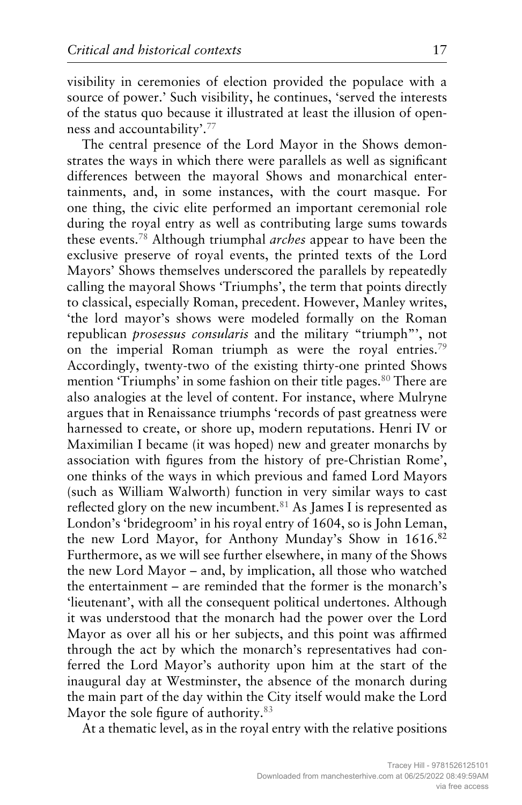visibility in ceremonies of election provided the populace with a source of power.' Such visibility, he continues, 'served the interests of the status quo because it illustrated at least the illusion of openness and accountability'.77

The central presence of the Lord Mayor in the Shows demonstrates the ways in which there were parallels as well as significant differences between the mayoral Shows and monarchical entertainments, and, in some instances, with the court masque. For one thing, the civic elite performed an important ceremonial role during the royal entry as well as contributing large sums towards these events.78 Although triumphal *arches* appear to have been the exclusive preserve of royal events, the printed texts of the Lord Mayors' Shows themselves underscored the parallels by repeatedly calling the mayoral Shows 'Triumphs', the term that points directly to classical, especially Roman, precedent. However, Manley writes, 'the lord mayor's shows were modeled formally on the Roman republican *prosessus consularis* and the military "triumph"', not on the imperial Roman triumph as were the royal entries.79 Accordingly, twenty-two of the existing thirty-one printed Shows mention 'Triumphs' in some fashion on their title pages.<sup>80</sup> There are also analogies at the level of content. For instance, where Mulryne argues that in Renaissance triumphs 'records of past greatness were harnessed to create, or shore up, modern reputations. Henri IV or Maximilian I became (it was hoped) new and greater monarchs by association with figures from the history of pre-Christian Rome', one thinks of the ways in which previous and famed Lord Mayors (such as William Walworth) function in very similar ways to cast reflected glory on the new incumbent.<sup>81</sup> As James I is represented as London's 'bridegroom' in his royal entry of 1604, so is John Leman, the new Lord Mayor, for Anthony Munday's Show in 1616.<sup>82</sup> Furthermore, as we will see further elsewhere, in many of the Shows the new Lord Mayor – and, by implication, all those who watched the entertainment – are reminded that the former is the monarch's 'lieutenant', with all the consequent political undertones. Although it was understood that the monarch had the power over the Lord Mayor as over all his or her subjects, and this point was affirmed through the act by which the monarch's representatives had conferred the Lord Mayor's authority upon him at the start of the inaugural day at Westminster, the absence of the monarch during the main part of the day within the City itself would make the Lord Mayor the sole figure of authority.<sup>83</sup>

At a thematic level, as in the royal entry with the relative positions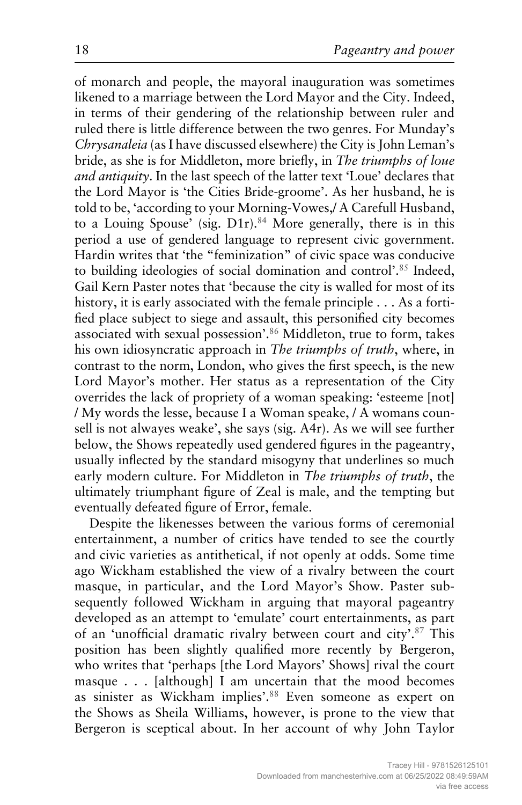of monarch and people, the mayoral inauguration was sometimes likened to a marriage between the Lord Mayor and the City. Indeed, in terms of their gendering of the relationship between ruler and ruled there is little difference between the two genres. For Munday's *Chrysanaleia* (as I have discussed elsewhere) the City is John Leman's bride, as she is for Middleton, more briefly, in *The triumphs of loue and antiquity*. In the last speech of the latter text 'Loue' declares that the Lord Mayor is 'the Cities Bride- groome'. As her husband, he is told to be, 'according to your Morning- Vowes,/ A Carefull Husband, to a Louing Spouse' (sig.  $D1r$ ).<sup>84</sup> More generally, there is in this period a use of gendered language to represent civic government. Hardin writes that 'the "feminization" of civic space was conducive to building ideologies of social domination and control'.85 Indeed, Gail Kern Paster notes that 'because the city is walled for most of its history, it is early associated with the female principle . . . As a fortified place subject to siege and assault, this personified city becomes associated with sexual possession'.86 Middleton, true to form, takes his own idiosyncratic approach in *The triumphs of truth*, where, in contrast to the norm, London, who gives the first speech, is the new Lord Mayor's mother. Her status as a representation of the City overrides the lack of propriety of a woman speaking: 'esteeme [not] / My words the lesse, because I a Woman speake, / A womans counsell is not alwayes weake', she says (sig. A4r). As we will see further below, the Shows repeatedly used gendered figures in the pageantry, usually inflected by the standard misogyny that underlines so much early modern culture. For Middleton in *The triumphs of truth*, the ultimately triumphant figure of Zeal is male, and the tempting but eventually defeated figure of Error, female.

Despite the likenesses between the various forms of ceremonial entertainment, a number of critics have tended to see the courtly and civic varieties as antithetical, if not openly at odds. Some time ago Wickham established the view of a rivalry between the court masque, in particular, and the Lord Mayor's Show. Paster subsequently followed Wickham in arguing that mayoral pageantry developed as an attempt to 'emulate' court entertainments, as part of an 'unofficial dramatic rivalry between court and city'.<sup>87</sup> This position has been slightly qualified more recently by Bergeron, who writes that 'perhaps [the Lord Mayors' Shows] rival the court masque . . . [although] I am uncertain that the mood becomes as sinister as Wickham implies'.88 Even someone as expert on the Shows as Sheila Williams, however, is prone to the view that Bergeron is sceptical about. In her account of why John Taylor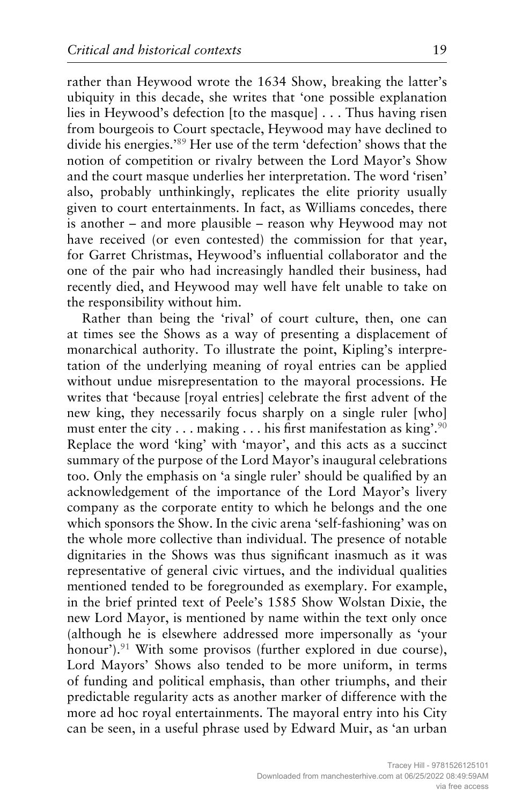rather than Heywood wrote the 1634 Show, breaking the latter's ubiquity in this decade, she writes that 'one possible explanation lies in Heywood's defection [to the masque] . . . Thus having risen from bourgeois to Court spectacle, Heywood may have declined to divide his energies.'89 Her use of the term 'defection' shows that the notion of competition or rivalry between the Lord Mayor's Show and the court masque underlies her interpretation. The word 'risen' also, probably unthinkingly, replicates the elite priority usually given to court entertainments. In fact, as Williams concedes, there is another – and more plausible – reason why Heywood may not have received (or even contested) the commission for that year, for Garret Christmas, Heywood's influential collaborator and the one of the pair who had increasingly handled their business, had recently died, and Heywood may well have felt unable to take on the responsibility without him.

Rather than being the 'rival' of court culture, then, one can at times see the Shows as a way of presenting a displacement of monarchical authority. To illustrate the point, Kipling's interpretation of the underlying meaning of royal entries can be applied without undue misrepresentation to the mayoral processions. He writes that 'because [royal entries] celebrate the first advent of the new king, they necessarily focus sharply on a single ruler [who] must enter the city  $\dots$  making  $\dots$  his first manifestation as king'.<sup>90</sup> Replace the word 'king' with 'mayor', and this acts as a succinct summary of the purpose of the Lord Mayor's inaugural celebrations too. Only the emphasis on 'a single ruler' should be qualified by an acknowledgement of the importance of the Lord Mayor's livery company as the corporate entity to which he belongs and the one which sponsors the Show. In the civic arena 'self-fashioning' was on the whole more collective than individual. The presence of notable dignitaries in the Shows was thus significant inasmuch as it was representative of general civic virtues, and the individual qualities mentioned tended to be foregrounded as exemplary. For example, in the brief printed text of Peele's 1585 Show Wolstan Dixie, the new Lord Mayor, is mentioned by name within the text only once (although he is elsewhere addressed more impersonally as 'your honour'). $91$  With some provisos (further explored in due course), Lord Mayors' Shows also tended to be more uniform, in terms of funding and political emphasis, than other triumphs, and their predictable regularity acts as another marker of difference with the more ad hoc royal entertainments. The mayoral entry into his City can be seen, in a useful phrase used by Edward Muir, as 'an urban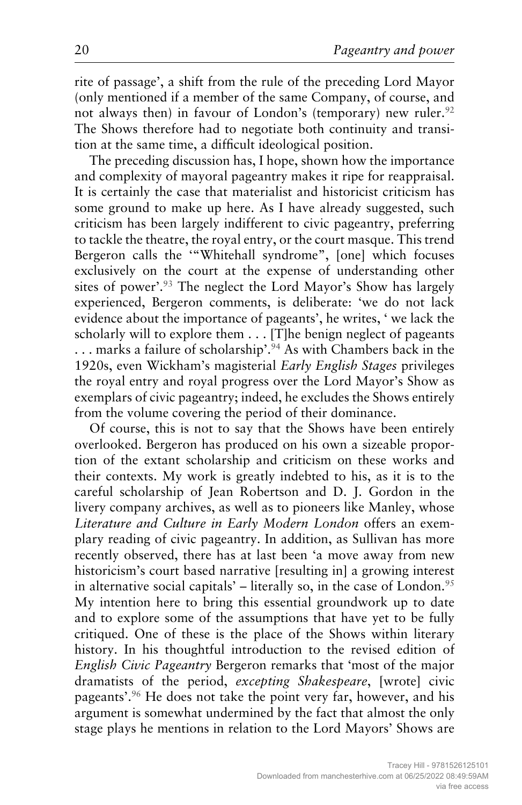rite of passage', a shift from the rule of the preceding Lord Mayor (only mentioned if a member of the same Company, of course, and not always then) in favour of London's (temporary) new ruler.<sup>92</sup> The Shows therefore had to negotiate both continuity and transition at the same time, a difficult ideological position.

The preceding discussion has, I hope, shown how the importance and complexity of mayoral pageantry makes it ripe for reappraisal. It is certainly the case that materialist and historicist criticism has some ground to make up here. As I have already suggested, such criticism has been largely indifferent to civic pageantry, preferring to tackle the theatre, the royal entry, or the court masque. This trend Bergeron calls the '"Whitehall syndrome", [one] which focuses exclusively on the court at the expense of understanding other sites of power'.<sup>93</sup> The neglect the Lord Mayor's Show has largely experienced, Bergeron comments, is deliberate: 'we do not lack evidence about the importance of pageants', he writes, ' we lack the scholarly will to explore them . . . [T] he benign neglect of pageants . . . marks a failure of scholarship'.94 As with Chambers back in the 1920s, even Wickham's magisterial *Early English Stages* privileges the royal entry and royal progress over the Lord Mayor's Show as exemplars of civic pageantry; indeed, he excludes the Shows entirely from the volume covering the period of their dominance.

Of course, this is not to say that the Shows have been entirely overlooked. Bergeron has produced on his own a sizeable proportion of the extant scholarship and criticism on these works and their contexts. My work is greatly indebted to his, as it is to the careful scholarship of Jean Robertson and D. J. Gordon in the livery company archives, as well as to pioneers like Manley, whose *Literature and Culture in Early Modern London* offers an exemplary reading of civic pageantry. In addition, as Sullivan has more recently observed, there has at last been 'a move away from new historicism's court based narrative [resulting in] a growing interest in alternative social capitals'  $-$  literally so, in the case of London.<sup>95</sup> My intention here to bring this essential groundwork up to date and to explore some of the assumptions that have yet to be fully critiqued. One of these is the place of the Shows within literary history. In his thoughtful introduction to the revised edition of *English Civic Pageantry* Bergeron remarks that 'most of the major dramatists of the period, *excepting Shakespeare*, [wrote] civic pageants'.96 He does not take the point very far, however, and his argument is somewhat undermined by the fact that almost the only stage plays he mentions in relation to the Lord Mayors' Shows are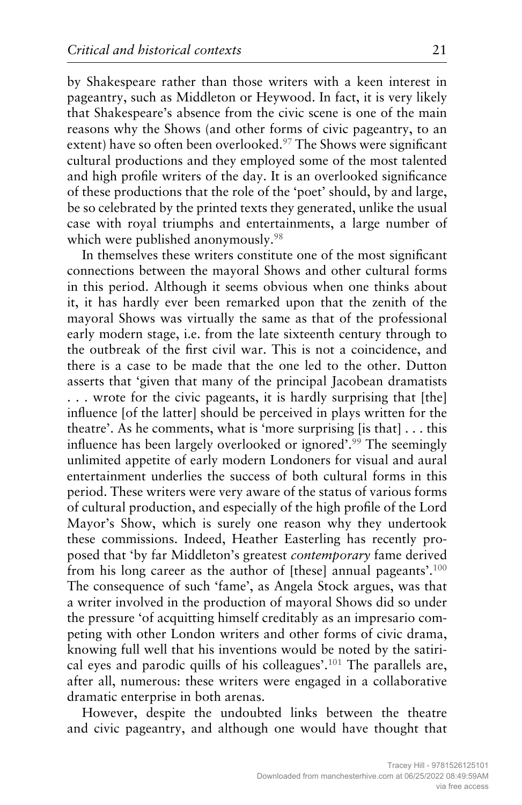by Shakespeare rather than those writers with a keen interest in pageantry, such as Middleton or Heywood. In fact, it is very likely that Shakespeare's absence from the civic scene is one of the main reasons why the Shows (and other forms of civic pageantry, to an extent) have so often been overlooked.<sup>97</sup> The Shows were significant cultural productions and they employed some of the most talented and high profile writers of the day. It is an overlooked significance of these productions that the role of the 'poet' should, by and large, be so celebrated by the printed texts they generated, unlike the usual case with royal triumphs and entertainments, a large number of which were published anonymously.98

In themselves these writers constitute one of the most significant connections between the mayoral Shows and other cultural forms in this period. Although it seems obvious when one thinks about it, it has hardly ever been remarked upon that the zenith of the mayoral Shows was virtually the same as that of the professional early modern stage, i.e. from the late sixteenth century through to the outbreak of the first civil war. This is not a coincidence, and there is a case to be made that the one led to the other. Dutton asserts that 'given that many of the principal Jacobean dramatists . . . wrote for the civic pageants, it is hardly surprising that [the] influence [of the latter] should be perceived in plays written for the theatre'. As he comments, what is 'more surprising [is that] . . . this influence has been largely overlooked or ignored<sup> $\cdot$ ,99</sup> The seemingly unlimited appetite of early modern Londoners for visual and aural entertainment underlies the success of both cultural forms in this period. These writers were very aware of the status of various forms of cultural production, and especially of the high profile of the Lord Mayor's Show, which is surely one reason why they undertook these commissions. Indeed, Heather Easterling has recently proposed that 'by far Middleton's greatest *contemporary* fame derived from his long career as the author of [these] annual pageants'.100 The consequence of such 'fame', as Angela Stock argues, was that a writer involved in the production of mayoral Shows did so under the pressure 'of acquitting himself creditably as an impresario competing with other London writers and other forms of civic drama, knowing full well that his inventions would be noted by the satirical eyes and parodic quills of his colleagues'.101 The parallels are, after all, numerous: these writers were engaged in a collaborative dramatic enterprise in both arenas.

However, despite the undoubted links between the theatre and civic pageantry, and although one would have thought that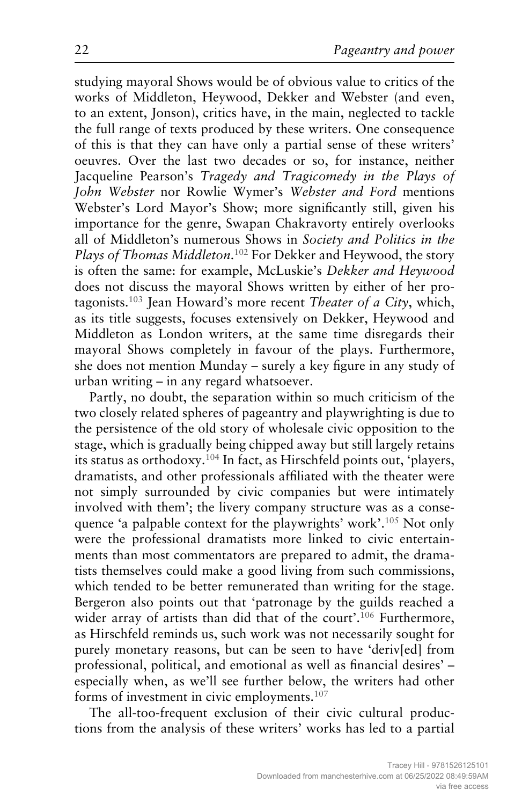studying mayoral Shows would be of obvious value to critics of the works of Middleton, Heywood, Dekker and Webster (and even, to an extent, Jonson), critics have, in the main, neglected to tackle the full range of texts produced by these writers. One consequence of this is that they can have only a partial sense of these writers' oeuvres. Over the last two decades or so, for instance, neither Jacqueline Pearson's *Tragedy and Tragicomedy in the Plays of John Webster* nor Rowlie Wymer's *Webster and Ford* mentions Webster's Lord Mayor's Show; more significantly still, given his importance for the genre, Swapan Chakravorty entirely overlooks all of Middleton's numerous Shows in *Society and Politics in the Plays of Thomas Middleton*. 102 For Dekker and Heywood, the story is often the same: for example, McLuskie's *Dekker and Heywood*  does not discuss the mayoral Shows written by either of her protagonists.<sup>103</sup> Jean Howard's more recent *Theater of a City*, which, as its title suggests, focuses extensively on Dekker, Heywood and Middleton as London writers, at the same time disregards their mayoral Shows completely in favour of the plays. Furthermore, she does not mention Munday – surely a key figure in any study of urban writing – in any regard whatsoever.

Partly, no doubt, the separation within so much criticism of the two closely related spheres of pageantry and playwrighting is due to the persistence of the old story of wholesale civic opposition to the stage, which is gradually being chipped away but still largely retains its status as orthodoxy.104 In fact, as Hirschfeld points out, 'players, dramatists, and other professionals affiliated with the theater were not simply surrounded by civic companies but were intimately involved with them'; the livery company structure was as a consequence 'a palpable context for the playwrights' work'.105 Not only were the professional dramatists more linked to civic entertainments than most commentators are prepared to admit, the dramatists themselves could make a good living from such commissions, which tended to be better remunerated than writing for the stage. Bergeron also points out that 'patronage by the guilds reached a wider array of artists than did that of the court'.<sup>106</sup> Furthermore, as Hirschfeld reminds us, such work was not necessarily sought for purely monetary reasons, but can be seen to have 'deriv[ed] from professional, political, and emotional as well as financial desires' especially when, as we'll see further below, the writers had other forms of investment in civic employments.107

The all-too-frequent exclusion of their civic cultural productions from the analysis of these writers' works has led to a partial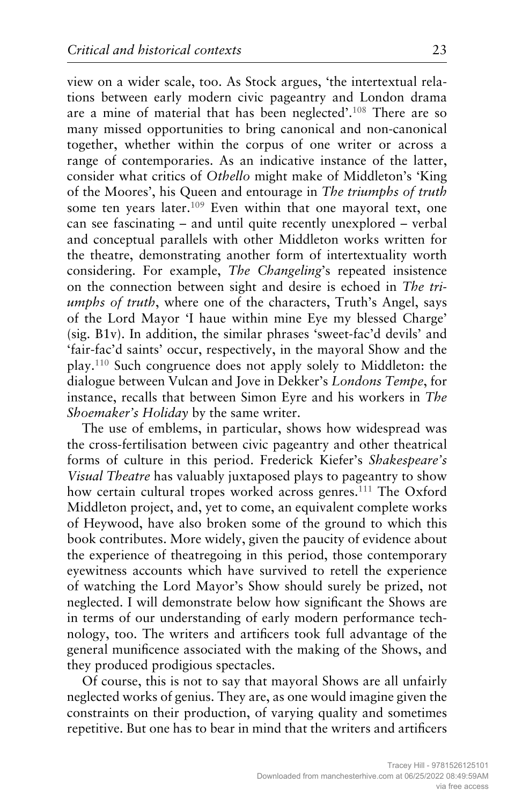view on a wider scale, too. As Stock argues, 'the intertextual relations between early modern civic pageantry and London drama are a mine of material that has been neglected'.108 There are so many missed opportunities to bring canonical and non-canonical together, whether within the corpus of one writer or across a range of contemporaries. As an indicative instance of the latter, consider what critics of *Othello* might make of Middleton's 'King of the Moores', his Queen and entourage in *The triumphs of truth* some ten years later.<sup>109</sup> Even within that one mayoral text, one can see fascinating – and until quite recently unexplored – verbal and conceptual parallels with other Middleton works written for the theatre, demonstrating another form of intertextuality worth considering. For example, *The Changeling*'s repeated insistence on the connection between sight and desire is echoed in *The triumphs of truth*, where one of the characters, Truth's Angel, says of the Lord Mayor 'I haue within mine Eye my blessed Charge' (sig.  $B1v$ ). In addition, the similar phrases 'sweet-fac'd devils' and 'fair- fac'd saints' occur, respectively, in the mayoral Show and the play.110 Such congruence does not apply solely to Middleton: the dialogue between Vulcan and Jove in Dekker's *Londons Tempe*, for instance, recalls that between Simon Eyre and his workers in *The Shoemaker's Holiday* by the same writer.

The use of emblems, in particular, shows how widespread was the cross- fertilisation between civic pageantry and other theatrical forms of culture in this period. Frederick Kiefer's *Shakespeare's Visual Theatre* has valuably juxtaposed plays to pageantry to show how certain cultural tropes worked across genres.<sup>111</sup> The Oxford Middleton project, and, yet to come, an equivalent complete works of Heywood, have also broken some of the ground to which this book contributes. More widely, given the paucity of evidence about the experience of theatregoing in this period, those contemporary eyewitness accounts which have survived to retell the experience of watching the Lord Mayor's Show should surely be prized, not neglected. I will demonstrate below how significant the Shows are in terms of our understanding of early modern performance technology, too. The writers and artificers took full advantage of the general munificence associated with the making of the Shows, and they produced prodigious spectacles.

Of course, this is not to say that mayoral Shows are all unfairly neglected works of genius. They are, as one would imagine given the constraints on their production, of varying quality and sometimes repetitive. But one has to bear in mind that the writers and artificers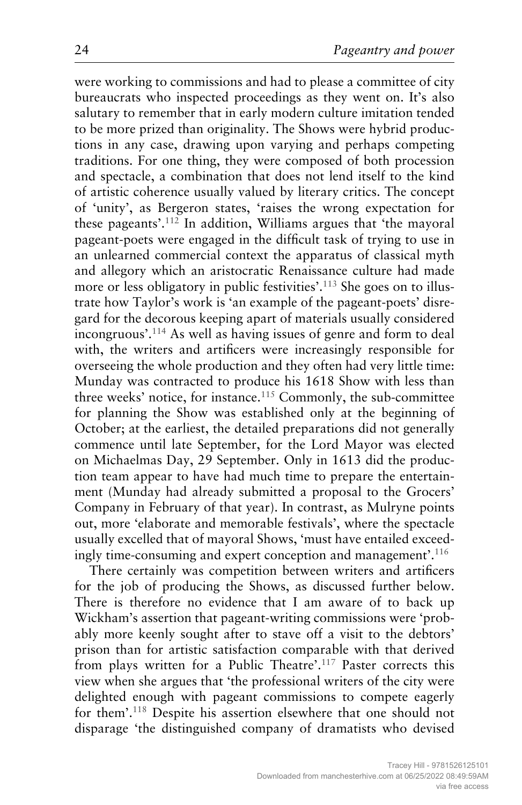were working to commissions and had to please a committee of city bureaucrats who inspected proceedings as they went on. It's also salutary to remember that in early modern culture imitation tended to be more prized than originality. The Shows were hybrid productions in any case, drawing upon varying and perhaps competing traditions. For one thing, they were composed of both procession and spectacle, a combination that does not lend itself to the kind of artistic coherence usually valued by literary critics. The concept of 'unity', as Bergeron states, 'raises the wrong expectation for these pageants'.112 In addition, Williams argues that 'the mayoral pageant-poets were engaged in the difficult task of trying to use in an unlearned commercial context the apparatus of classical myth and allegory which an aristocratic Renaissance culture had made more or less obligatory in public festivities'.113 She goes on to illustrate how Taylor's work is 'an example of the pageant- poets' disregard for the decorous keeping apart of materials usually considered incongruous'.114 As well as having issues of genre and form to deal with, the writers and artificers were increasingly responsible for overseeing the whole production and they often had very little time: Munday was contracted to produce his 1618 Show with less than three weeks' notice, for instance.<sup>115</sup> Commonly, the sub-committee for planning the Show was established only at the beginning of October; at the earliest, the detailed preparations did not generally commence until late September, for the Lord Mayor was elected on Michaelmas Day, 29 September. Only in 1613 did the production team appear to have had much time to prepare the entertainment (Munday had already submitted a proposal to the Grocers' Company in February of that year). In contrast, as Mulryne points out, more 'elaborate and memorable festivals', where the spectacle usually excelled that of mayoral Shows, 'must have entailed exceedingly time-consuming and expert conception and management'.<sup>116</sup>

There certainly was competition between writers and artificers for the job of producing the Shows, as discussed further below. There is therefore no evidence that I am aware of to back up Wickham's assertion that pageant- writing commissions were 'probably more keenly sought after to stave off a visit to the debtors' prison than for artistic satisfaction comparable with that derived from plays written for a Public Theatre'.117 Paster corrects this view when she argues that 'the professional writers of the city were delighted enough with pageant commissions to compete eagerly for them'.118 Despite his assertion elsewhere that one should not disparage 'the distinguished company of dramatists who devised

Tracey Hill - 9781526125101 Downloaded from manchesterhive.com at 06/25/2022 08:49:59AM via free access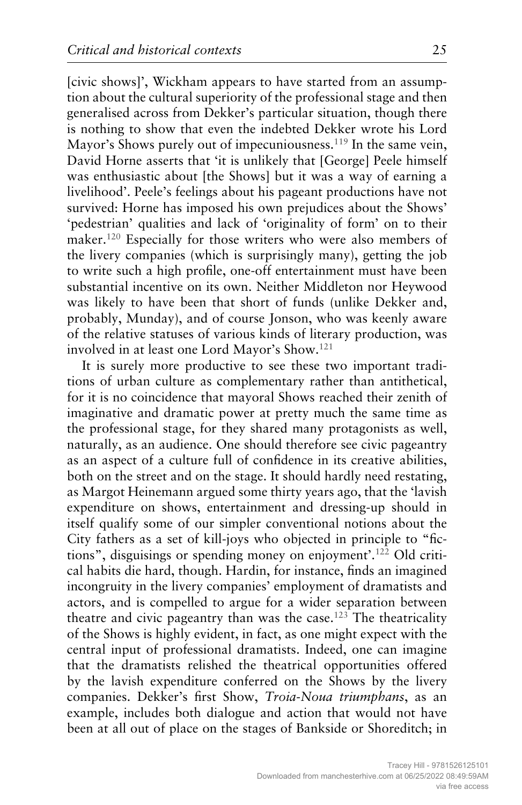[civic shows]', Wickham appears to have started from an assumption about the cultural superiority of the professional stage and then generalised across from Dekker's particular situation, though there is nothing to show that even the indebted Dekker wrote his Lord Mayor's Shows purely out of impecuniousness.<sup>119</sup> In the same vein, David Horne asserts that 'it is unlikely that [George] Peele himself was enthusiastic about [the Shows] but it was a way of earning a livelihood'. Peele's feelings about his pageant productions have not survived: Horne has imposed his own prejudices about the Shows' 'pedestrian' qualities and lack of 'originality of form' on to their maker.120 Especially for those writers who were also members of the livery companies (which is surprisingly many), getting the job to write such a high profile, one-off entertainment must have been substantial incentive on its own. Neither Middleton nor Heywood was likely to have been that short of funds (unlike Dekker and, probably, Munday), and of course Jonson, who was keenly aware of the relative statuses of various kinds of literary production, was involved in at least one Lord Mayor's Show.121

It is surely more productive to see these two important traditions of urban culture as complementary rather than antithetical, for it is no coincidence that mayoral Shows reached their zenith of imaginative and dramatic power at pretty much the same time as the professional stage, for they shared many protagonists as well, naturally, as an audience. One should therefore see civic pageantry as an aspect of a culture full of confidence in its creative abilities, both on the street and on the stage. It should hardly need restating, as Margot Heinemann argued some thirty years ago, that the 'lavish expenditure on shows, entertainment and dressing-up should in itself qualify some of our simpler conventional notions about the City fathers as a set of kill-joys who objected in principle to "fictions", disguisings or spending money on enjoyment'.122 Old critical habits die hard, though. Hardin, for instance, finds an imagined incongruity in the livery companies' employment of dramatists and actors, and is compelled to argue for a wider separation between theatre and civic pageantry than was the case.123 The theatricality of the Shows is highly evident, in fact, as one might expect with the central input of professional dramatists. Indeed, one can imagine that the dramatists relished the theatrical opportunities offered by the lavish expenditure conferred on the Shows by the livery companies. Dekker's first Show, *Troia-Noua triumphans*, as an example, includes both dialogue and action that would not have been at all out of place on the stages of Bankside or Shoreditch; in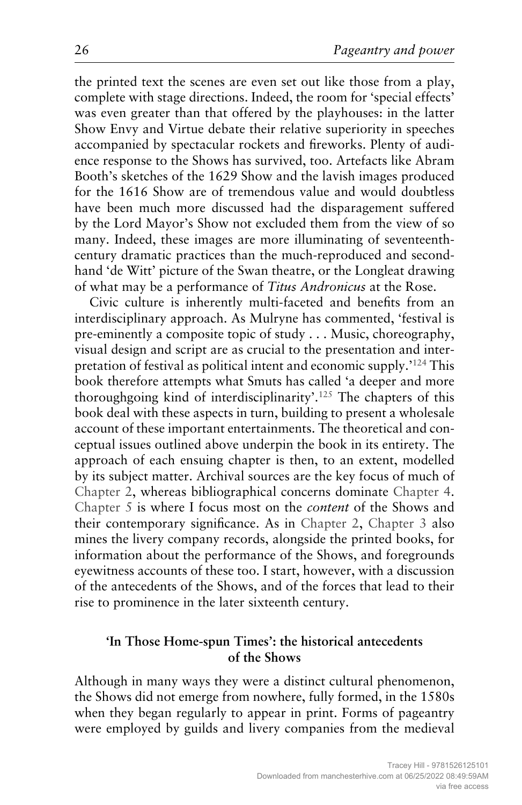the printed text the scenes are even set out like those from a play, complete with stage directions. Indeed, the room for 'special effects' was even greater than that offered by the playhouses: in the latter Show Envy and Virtue debate their relative superiority in speeches accompanied by spectacular rockets and fireworks. Plenty of audience response to the Shows has survived, too. Artefacts like Abram Booth's sketches of the 1629 Show and the lavish images produced for the 1616 Show are of tremendous value and would doubtless have been much more discussed had the disparagement suffered by the Lord Mayor's Show not excluded them from the view of so many. Indeed, these images are more illuminating of seventeenthcentury dramatic practices than the much-reproduced and secondhand 'de Witt' picture of the Swan theatre, or the Longleat drawing of what may be a performance of *Titus Andronicus* at the Rose.

Civic culture is inherently multi-faceted and benefits from an interdisciplinary approach. As Mulryne has commented, 'festival is pre-eminently a composite topic of study . . . Music, choreography, visual design and script are as crucial to the presentation and interpretation of festival as political intent and economic supply.'124 This book therefore attempts what Smuts has called 'a deeper and more thoroughgoing kind of interdisciplinarity'.125 The chapters of this book deal with these aspects in turn, building to present a wholesale account of these important entertainments. The theoretical and conceptual issues outlined above underpin the book in its entirety. The approach of each ensuing chapter is then, to an extent, modelled by its subject matter. Archival sources are the key focus of much of Chapter 2, whereas bibliographical concerns dominate Chapter 4. Chapter 5 is where I focus most on the *content* of the Shows and their contemporary significance. As in Chapter 2, Chapter 3 also mines the livery company records, alongside the printed books, for information about the performance of the Shows, and foregrounds eyewitness accounts of these too. I start, however, with a discussion of the antecedents of the Shows, and of the forces that lead to their rise to prominence in the later sixteenth century.

## **'In Those Home-spun Times': the historical antecedents of the Shows**

Although in many ways they were a distinct cultural phenomenon, the Shows did not emerge from nowhere, fully formed, in the 1580s when they began regularly to appear in print. Forms of pageantry were employed by guilds and livery companies from the medieval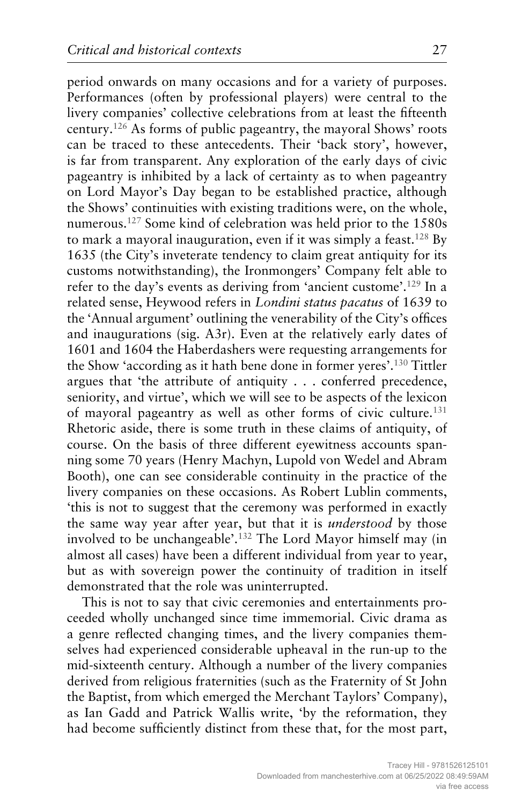period onwards on many occasions and for a variety of purposes. Performances (often by professional players) were central to the livery companies' collective celebrations from at least the fifteenth century.126 As forms of public pageantry, the mayoral Shows' roots can be traced to these antecedents. Their 'back story', however, is far from transparent. Any exploration of the early days of civic pageantry is inhibited by a lack of certainty as to when pageantry on Lord Mayor's Day began to be established practice, although the Shows' continuities with existing traditions were, on the whole, numerous.127 Some kind of celebration was held prior to the 1580s to mark a mayoral inauguration, even if it was simply a feast.<sup>128</sup> By 1635 (the City's inveterate tendency to claim great antiquity for its customs notwithstanding), the Ironmongers' Company felt able to refer to the day's events as deriving from 'ancient custome'.129 In a related sense, Heywood refers in *Londini status pacatus* of 1639 to the 'Annual argument' outlining the venerability of the City's offices and inaugurations (sig. A3r). Even at the relatively early dates of 1601 and 1604 the Haberdashers were requesting arrangements for the Show 'according as it hath bene done in former yeres'.130 Tittler argues that 'the attribute of antiquity . . . conferred precedence, seniority, and virtue', which we will see to be aspects of the lexicon of mayoral pageantry as well as other forms of civic culture.131 Rhetoric aside, there is some truth in these claims of antiquity, of course. On the basis of three different eyewitness accounts spanning some 70 years (Henry Machyn, Lupold von Wedel and Abram Booth), one can see considerable continuity in the practice of the livery companies on these occasions. As Robert Lublin comments, 'this is not to suggest that the ceremony was performed in exactly the same way year after year, but that it is *understood* by those involved to be unchangeable'.132 The Lord Mayor himself may (in almost all cases) have been a different individual from year to year, but as with sovereign power the continuity of tradition in itself demonstrated that the role was uninterrupted.

This is not to say that civic ceremonies and entertainments proceeded wholly unchanged since time immemorial. Civic drama as a genre reflected changing times, and the livery companies themselves had experienced considerable upheaval in the run-up to the mid- sixteenth century. Although a number of the livery companies derived from religious fraternities (such as the Fraternity of St John the Baptist, from which emerged the Merchant Taylors' Company), as Ian Gadd and Patrick Wallis write, 'by the reformation, they had become sufficiently distinct from these that, for the most part,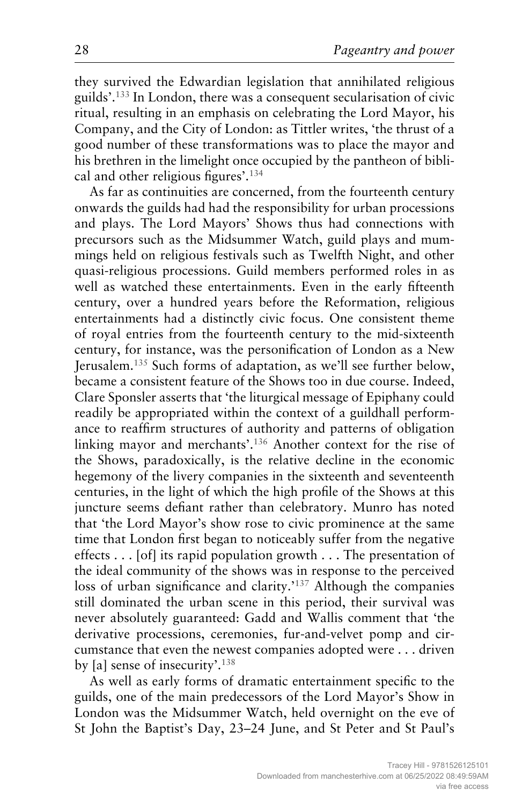they survived the Edwardian legislation that annihilated religious guilds'.133 In London, there was a consequent secularisation of civic ritual, resulting in an emphasis on celebrating the Lord Mayor, his Company, and the City of London: as Tittler writes, 'the thrust of a good number of these transformations was to place the mayor and his brethren in the limelight once occupied by the pantheon of biblical and other religious figures'.<sup>134</sup>

As far as continuities are concerned, from the fourteenth century onwards the guilds had had the responsibility for urban processions and plays. The Lord Mayors' Shows thus had connections with precursors such as the Midsummer Watch, guild plays and mummings held on religious festivals such as Twelfth Night, and other quasi- religious processions. Guild members performed roles in as well as watched these entertainments. Even in the early fifteenth century, over a hundred years before the Reformation, religious entertainments had a distinctly civic focus. One consistent theme of royal entries from the fourteenth century to the mid-sixteenth century, for instance, was the personification of London as a New Jerusalem.135 Such forms of adaptation, as we'll see further below, became a consistent feature of the Shows too in due course. Indeed, Clare Sponsler asserts that 'the liturgical message of Epiphany could readily be appropriated within the context of a guildhall performance to reaffirm structures of authority and patterns of obligation linking mayor and merchants'.136 Another context for the rise of the Shows, paradoxically, is the relative decline in the economic hegemony of the livery companies in the sixteenth and seventeenth centuries, in the light of which the high profile of the Shows at this juncture seems defiant rather than celebratory. Munro has noted that 'the Lord Mayor's show rose to civic prominence at the same time that London first began to noticeably suffer from the negative effects . . . [of] its rapid population growth . . . The presentation of the ideal community of the shows was in response to the perceived loss of urban significance and clarity.'<sup>137</sup> Although the companies still dominated the urban scene in this period, their survival was never absolutely guaranteed: Gadd and Wallis comment that 'the derivative processions, ceremonies, fur-and-velvet pomp and circumstance that even the newest companies adopted were . . . driven by [a] sense of insecurity'.138

As well as early forms of dramatic entertainment specific to the guilds, one of the main predecessors of the Lord Mayor's Show in London was the Midsummer Watch, held overnight on the eve of St John the Baptist's Day, 23–24 June, and St Peter and St Paul's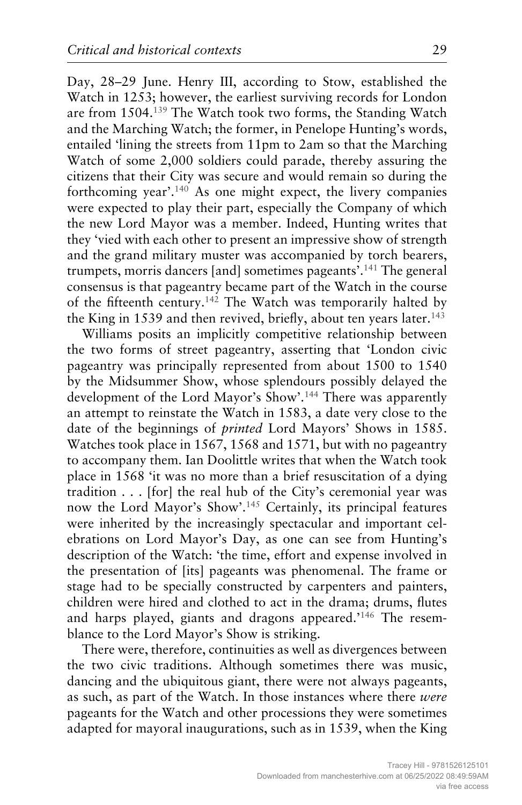Day, 28–29 June. Henry III, according to Stow, established the Watch in 1253; however, the earliest surviving records for London are from 1504.139 The Watch took two forms, the Standing Watch and the Marching Watch; the former, in Penelope Hunting's words, entailed 'lining the streets from 11pm to 2am so that the Marching Watch of some 2,000 soldiers could parade, thereby assuring the citizens that their City was secure and would remain so during the forthcoming year'.140 As one might expect, the livery companies were expected to play their part, especially the Company of which the new Lord Mayor was a member. Indeed, Hunting writes that they 'vied with each other to present an impressive show of strength and the grand military muster was accompanied by torch bearers, trumpets, morris dancers [and] sometimes pageants'.141 The general consensus is that pageantry became part of the Watch in the course of the fifteenth century.<sup>142</sup> The Watch was temporarily halted by the King in 1539 and then revived, briefly, about ten years later.<sup>143</sup>

Williams posits an implicitly competitive relationship between the two forms of street pageantry, asserting that 'London civic pageantry was principally represented from about 1500 to 1540 by the Midsummer Show, whose splendours possibly delayed the development of the Lord Mayor's Show'.144 There was apparently an attempt to reinstate the Watch in 1583, a date very close to the date of the beginnings of *printed* Lord Mayors' Shows in 1585. Watches took place in 1567, 1568 and 1571, but with no pageantry to accompany them. Ian Doolittle writes that when the Watch took place in 1568 'it was no more than a brief resuscitation of a dying tradition . . . [for] the real hub of the City's ceremonial year was now the Lord Mayor's Show'.145 Certainly, its principal features were inherited by the increasingly spectacular and important celebrations on Lord Mayor's Day, as one can see from Hunting's description of the Watch: 'the time, effort and expense involved in the presentation of [its] pageants was phenomenal. The frame or stage had to be specially constructed by carpenters and painters, children were hired and clothed to act in the drama; drums, flutes and harps played, giants and dragons appeared.'146 The resemblance to the Lord Mayor's Show is striking.

There were, therefore, continuities as well as divergences between the two civic traditions. Although sometimes there was music, dancing and the ubiquitous giant, there were not always pageants, as such, as part of the Watch. In those instances where there *were* pageants for the Watch and other processions they were sometimes adapted for mayoral inaugurations, such as in 1539, when the King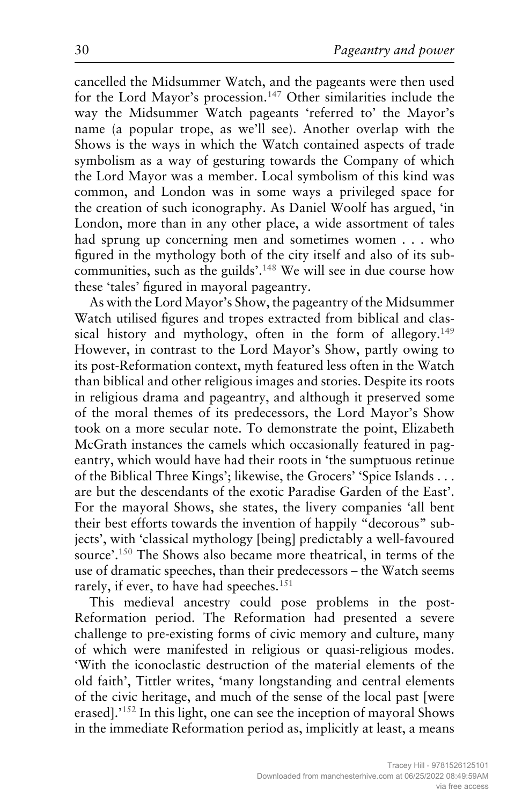cancelled the Midsummer Watch, and the pageants were then used for the Lord Mayor's procession.147 Other similarities include the way the Midsummer Watch pageants 'referred to' the Mayor's name (a popular trope, as we'll see). Another overlap with the Shows is the ways in which the Watch contained aspects of trade symbolism as a way of gesturing towards the Company of which the Lord Mayor was a member. Local symbolism of this kind was common, and London was in some ways a privileged space for the creation of such iconography. As Daniel Woolf has argued, 'in London, more than in any other place, a wide assortment of tales had sprung up concerning men and sometimes women . . . who figured in the mythology both of the city itself and also of its subcommunities, such as the guilds'.148 We will see in due course how these 'tales' figured in mayoral pageantry.

As with the Lord Mayor's Show, the pageantry of the Midsummer Watch utilised figures and tropes extracted from biblical and classical history and mythology, often in the form of allegory.<sup>149</sup> However, in contrast to the Lord Mayor's Show, partly owing to its post- Reformation context, myth featured less often in the Watch than biblical and other religious images and stories. Despite its roots in religious drama and pageantry, and although it preserved some of the moral themes of its predecessors, the Lord Mayor's Show took on a more secular note. To demonstrate the point, Elizabeth McGrath instances the camels which occasionally featured in pageantry, which would have had their roots in 'the sumptuous retinue of the Biblical Three Kings'; likewise, the Grocers' 'Spice Islands . . . are but the descendants of the exotic Paradise Garden of the East'. For the mayoral Shows, she states, the livery companies 'all bent their best efforts towards the invention of happily "decorous" subjects', with 'classical mythology [being] predictably a well-favoured source'.150 The Shows also became more theatrical, in terms of the use of dramatic speeches, than their predecessors – the Watch seems rarely, if ever, to have had speeches.<sup>151</sup>

This medieval ancestry could pose problems in the post-Reformation period. The Reformation had presented a severe challenge to pre-existing forms of civic memory and culture, many of which were manifested in religious or quasi- religious modes. 'With the iconoclastic destruction of the material elements of the old faith', Tittler writes, 'many longstanding and central elements of the civic heritage, and much of the sense of the local past [were erased].'152 In this light, one can see the inception of mayoral Shows in the immediate Reformation period as, implicitly at least, a means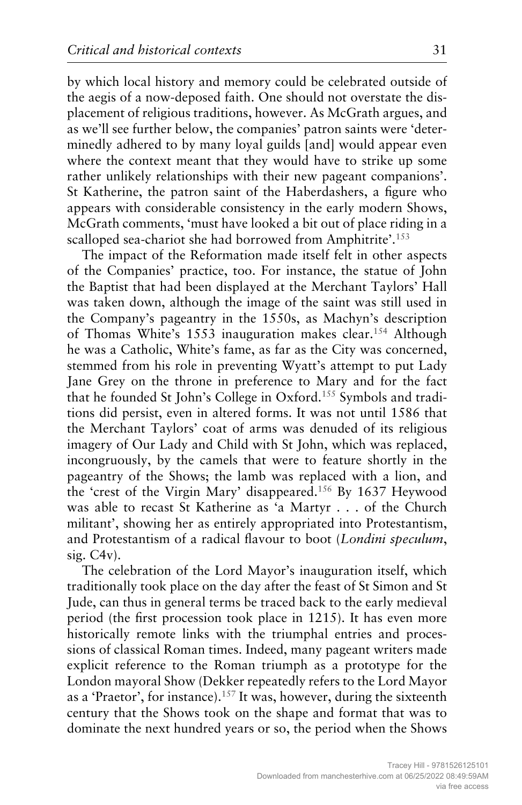by which local history and memory could be celebrated outside of the aegis of a now- deposed faith. One should not overstate the displacement of religious traditions, however. As McGrath argues, and as we'll see further below, the companies' patron saints were 'determinedly adhered to by many loyal guilds [and] would appear even where the context meant that they would have to strike up some rather unlikely relationships with their new pageant companions'. St Katherine, the patron saint of the Haberdashers, a figure who appears with considerable consistency in the early modern Shows, McGrath comments, 'must have looked a bit out of place riding in a scalloped sea-chariot she had borrowed from Amphitrite'.<sup>153</sup>

The impact of the Reformation made itself felt in other aspects of the Companies' practice, too. For instance, the statue of John the Baptist that had been displayed at the Merchant Taylors' Hall was taken down, although the image of the saint was still used in the Company's pageantry in the 1550s, as Machyn's description of Thomas White's 1553 inauguration makes clear.154 Although he was a Catholic, White's fame, as far as the City was concerned, stemmed from his role in preventing Wyatt's attempt to put Lady Jane Grey on the throne in preference to Mary and for the fact that he founded St John's College in Oxford.155 Symbols and traditions did persist, even in altered forms. It was not until 1586 that the Merchant Taylors' coat of arms was denuded of its religious imagery of Our Lady and Child with St John, which was replaced, incongruously, by the camels that were to feature shortly in the pageantry of the Shows; the lamb was replaced with a lion, and the 'crest of the Virgin Mary' disappeared.156 By 1637 Heywood was able to recast St Katherine as 'a Martyr . . . of the Church militant', showing her as entirely appropriated into Protestantism, and Protestantism of a radical flavour to boot (*Londini speculum*, sig. C4v).

The celebration of the Lord Mayor's inauguration itself, which traditionally took place on the day after the feast of St Simon and St Jude, can thus in general terms be traced back to the early medieval period (the first procession took place in 1215). It has even more historically remote links with the triumphal entries and processions of classical Roman times. Indeed, many pageant writers made explicit reference to the Roman triumph as a prototype for the London mayoral Show (Dekker repeatedly refers to the Lord Mayor as a 'Praetor', for instance).157 It was, however, during the sixteenth century that the Shows took on the shape and format that was to dominate the next hundred years or so, the period when the Shows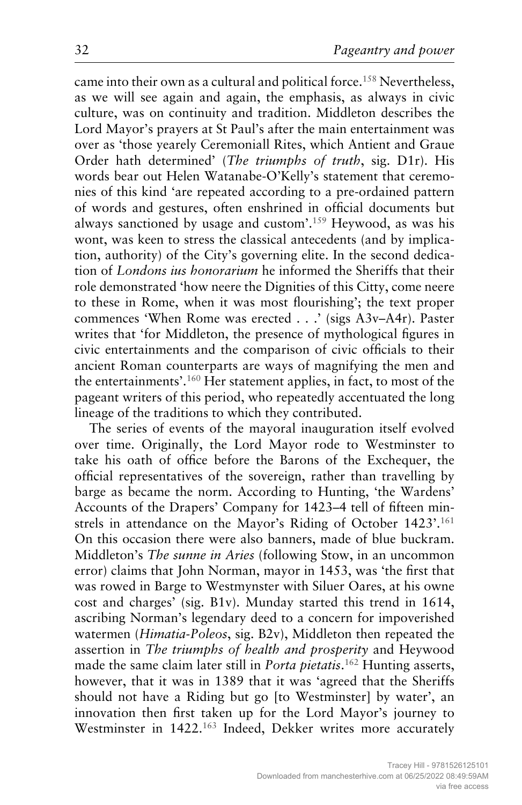came into their own as a cultural and political force.158 Nevertheless, as we will see again and again, the emphasis, as always in civic culture, was on continuity and tradition. Middleton describes the Lord Mayor's prayers at St Paul's after the main entertainment was over as 'those yearely Ceremoniall Rites, which Antient and Graue Order hath determined' (*The triumphs of truth*, sig. D1r). His words bear out Helen Watanabe-O'Kelly's statement that ceremonies of this kind 'are repeated according to a pre- ordained pattern of words and gestures, often enshrined in official documents but always sanctioned by usage and custom'.159 Heywood, as was his wont, was keen to stress the classical antecedents (and by implication, authority) of the City's governing elite. In the second dedication of *Londons ius honorarium* he informed the Sheriffs that their role demonstrated 'how neere the Dignities of this Citty, come neere to these in Rome, when it was most flourishing'; the text proper commences 'When Rome was erected . . .' (sigs A3v–A4r). Paster writes that 'for Middleton, the presence of mythological figures in civic entertainments and the comparison of civic officials to their ancient Roman counterparts are ways of magnifying the men and the entertainments'.160 Her statement applies, in fact, to most of the pageant writers of this period, who repeatedly accentuated the long lineage of the traditions to which they contributed.

The series of events of the mayoral inauguration itself evolved over time. Originally, the Lord Mayor rode to Westminster to take his oath of office before the Barons of the Exchequer, the official representatives of the sovereign, rather than travelling by barge as became the norm. According to Hunting, 'the Wardens' Accounts of the Drapers' Company for 1423-4 tell of fifteen minstrels in attendance on the Mayor's Riding of October 1423'.<sup>161</sup> On this occasion there were also banners, made of blue buckram. Middleton's *The sunne in Aries* (following Stow, in an uncommon error) claims that John Norman, mayor in 1453, was 'the first that was rowed in Barge to Westmynster with Siluer Oares, at his owne cost and charges' (sig. B1v). Munday started this trend in 1614, ascribing Norman's legendary deed to a concern for impoverished watermen (*Himatia-Poleos*, sig. B2v), Middleton then repeated the assertion in *The triumphs of health and prosperity* and Heywood made the same claim later still in *Porta pietatis*. 162 Hunting asserts, however, that it was in 1389 that it was 'agreed that the Sheriffs should not have a Riding but go [to Westminster] by water', an innovation then first taken up for the Lord Mayor's journey to Westminster in 1422.<sup>163</sup> Indeed, Dekker writes more accurately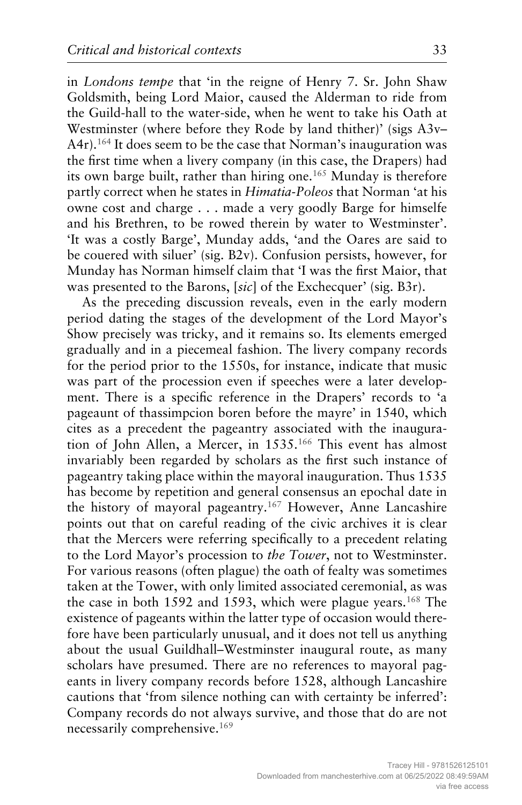in *Londons tempe* that 'in the reigne of Henry 7. Sr. John Shaw Goldsmith, being Lord Maior, caused the Alderman to ride from the Guild-hall to the water-side, when he went to take his Oath at Westminster (where before they Rode by land thither)' (sigs A3v– A4r).164 It does seem to be the case that Norman's inauguration was the first time when a livery company (in this case, the Drapers) had its own barge built, rather than hiring one.165 Munday is therefore partly correct when he states in *Himatia- Poleos* that Norman 'at his owne cost and charge . . . made a very goodly Barge for himselfe and his Brethren, to be rowed therein by water to Westminster'. 'It was a costly Barge', Munday adds, 'and the Oares are said to be couered with siluer' (sig. B2v). Confusion persists, however, for Munday has Norman himself claim that 'I was the first Maior, that was presented to the Barons, [*sic*] of the Exchecquer' (sig. B3r).

As the preceding discussion reveals, even in the early modern period dating the stages of the development of the Lord Mayor's Show precisely was tricky, and it remains so. Its elements emerged gradually and in a piecemeal fashion. The livery company records for the period prior to the 1550s, for instance, indicate that music was part of the procession even if speeches were a later development. There is a specific reference in the Drapers' records to 'a pageaunt of thassimpcion boren before the mayre' in 1540, which cites as a precedent the pageantry associated with the inauguration of John Allen, a Mercer, in 1535.166 This event has almost invariably been regarded by scholars as the first such instance of pageantry taking place within the mayoral inauguration. Thus 1535 has become by repetition and general consensus an epochal date in the history of mayoral pageantry.167 However, Anne Lancashire points out that on careful reading of the civic archives it is clear that the Mercers were referring specifically to a precedent relating to the Lord Mayor's procession to *the Tower*, not to Westminster. For various reasons (often plague) the oath of fealty was sometimes taken at the Tower, with only limited associated ceremonial, as was the case in both 1592 and 1593, which were plague years.<sup>168</sup> The existence of pageants within the latter type of occasion would therefore have been particularly unusual, and it does not tell us anything about the usual Guildhall–Westminster inaugural route, as many scholars have presumed. There are no references to mayoral pageants in livery company records before 1528, although Lancashire cautions that 'from silence nothing can with certainty be inferred': Company records do not always survive, and those that do are not necessarily comprehensive.169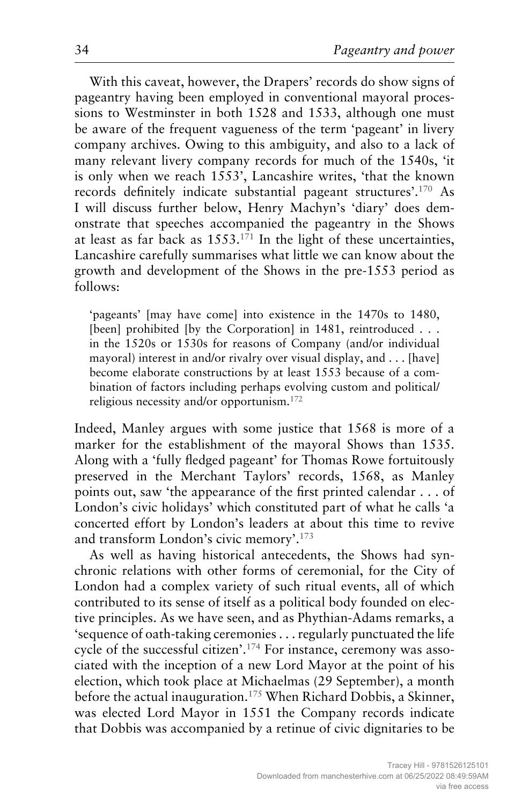With this caveat, however, the Drapers' records do show signs of pageantry having been employed in conventional mayoral processions to Westminster in both 1528 and 1533, although one must be aware of the frequent vagueness of the term 'pageant' in livery company archives. Owing to this ambiguity, and also to a lack of many relevant livery company records for much of the 1540s, 'it is only when we reach 1553', Lancashire writes, 'that the known records definitely indicate substantial pageant structures'.<sup>170</sup> As I will discuss further below, Henry Machyn's 'diary' does demonstrate that speeches accompanied the pageantry in the Shows at least as far back as  $1553$ .<sup>171</sup> In the light of these uncertainties, Lancashire carefully summarises what little we can know about the growth and development of the Shows in the pre-1553 period as follows:

'pageants' [may have come] into existence in the 1470s to 1480, [been] prohibited [by the Corporation] in 1481, reintroduced . . . in the 1520s or 1530s for reasons of Company (and/or individual mayoral) interest in and/or rivalry over visual display, and . . . [have] become elaborate constructions by at least 1553 because of a combination of factors including perhaps evolving custom and political/ religious necessity and/or opportunism.172

Indeed, Manley argues with some justice that 1568 is more of a marker for the establishment of the mayoral Shows than 1535. Along with a 'fully fledged pageant' for Thomas Rowe fortuitously preserved in the Merchant Taylors' records, 1568, as Manley points out, saw 'the appearance of the first printed calendar . . . of London's civic holidays' which constituted part of what he calls 'a concerted effort by London's leaders at about this time to revive and transform London's civic memory'.173

As well as having historical antecedents, the Shows had synchronic relations with other forms of ceremonial, for the City of London had a complex variety of such ritual events, all of which contributed to its sense of itself as a political body founded on elective principles. As we have seen, and as Phythian- Adams remarks, a 'sequence of oath-taking ceremonies . . . regularly punctuated the life cycle of the successful citizen'.174 For instance, ceremony was associated with the inception of a new Lord Mayor at the point of his election, which took place at Michaelmas (29 September), a month before the actual inauguration.<sup>175</sup> When Richard Dobbis, a Skinner, was elected Lord Mayor in 1551 the Company records indicate that Dobbis was accompanied by a retinue of civic dignitaries to be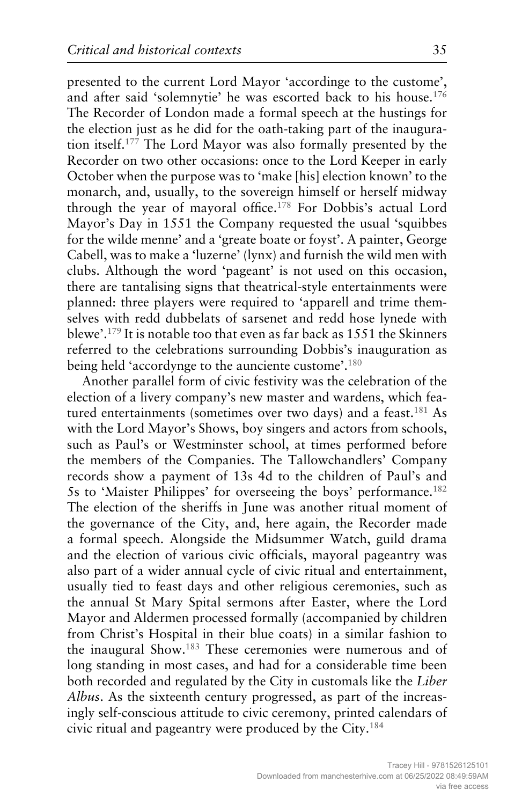presented to the current Lord Mayor 'accordinge to the custome', and after said 'solemnytie' he was escorted back to his house.<sup>176</sup> The Recorder of London made a formal speech at the hustings for the election just as he did for the oath- taking part of the inauguration itself.177 The Lord Mayor was also formally presented by the Recorder on two other occasions: once to the Lord Keeper in early October when the purpose was to 'make [his] election known' to the monarch, and, usually, to the sovereign himself or herself midway through the year of mayoral office.<sup>178</sup> For Dobbis's actual Lord Mayor's Day in 1551 the Company requested the usual 'squibbes for the wilde menne' and a 'greate boate or foyst'. A painter, George Cabell, was to make a 'luzerne' (lynx) and furnish the wild men with clubs. Although the word 'pageant' is not used on this occasion, there are tantalising signs that theatrical- style entertainments were planned: three players were required to 'apparell and trime themselves with redd dubbelats of sarsenet and redd hose lynede with blewe'.179 It is notable too that even as far back as 1551 the Skinners referred to the celebrations surrounding Dobbis's inauguration as being held 'accordynge to the aunciente custome'.180

Another parallel form of civic festivity was the celebration of the election of a livery company's new master and wardens, which featured entertainments (sometimes over two days) and a feast.<sup>181</sup> As with the Lord Mayor's Shows, boy singers and actors from schools, such as Paul's or Westminster school, at times performed before the members of the Companies. The Tallowchandlers' Company records show a payment of 13s 4d to the children of Paul's and 5s to 'Maister Philippes' for overseeing the boys' performance.182 The election of the sheriffs in June was another ritual moment of the governance of the City, and, here again, the Recorder made a formal speech. Alongside the Midsummer Watch, guild drama and the election of various civic officials, mayoral pageantry was also part of a wider annual cycle of civic ritual and entertainment, usually tied to feast days and other religious ceremonies, such as the annual St Mary Spital sermons after Easter, where the Lord Mayor and Aldermen processed formally (accompanied by children from Christ's Hospital in their blue coats) in a similar fashion to the inaugural Show.183 These ceremonies were numerous and of long standing in most cases, and had for a considerable time been both recorded and regulated by the City in customals like the *Liber Albus*. As the sixteenth century progressed, as part of the increasingly self-conscious attitude to civic ceremony, printed calendars of civic ritual and pageantry were produced by the City.184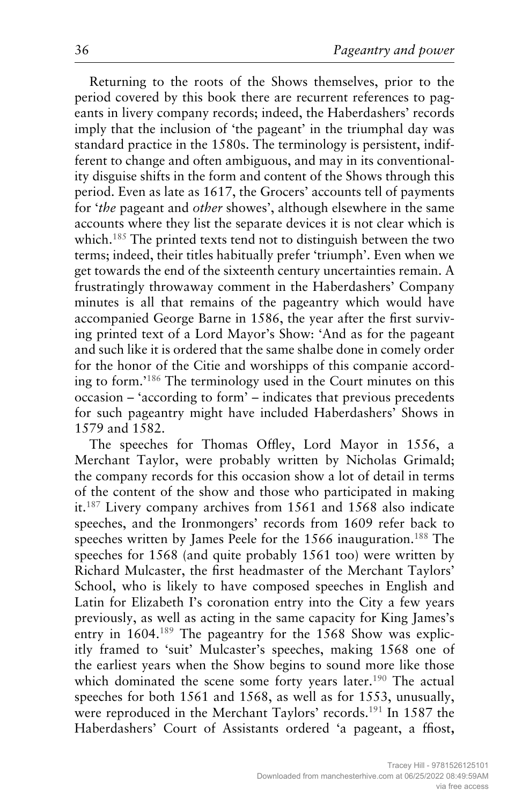Returning to the roots of the Shows themselves, prior to the period covered by this book there are recurrent references to pageants in livery company records; indeed, the Haberdashers' records imply that the inclusion of 'the pageant' in the triumphal day was standard practice in the 1580s. The terminology is persistent, indifferent to change and often ambiguous, and may in its conventionality disguise shifts in the form and content of the Shows through this period. Even as late as 1617, the Grocers' accounts tell of payments for '*the* pageant and *other* showes', although elsewhere in the same accounts where they list the separate devices it is not clear which is which.<sup>185</sup> The printed texts tend not to distinguish between the two terms; indeed, their titles habitually prefer 'triumph'. Even when we get towards the end of the sixteenth century uncertainties remain. A frustratingly throwaway comment in the Haberdashers' Company minutes is all that remains of the pageantry which would have accompanied George Barne in 1586, the year after the first surviving printed text of a Lord Mayor's Show: 'And as for the pageant and such like it is ordered that the same shalbe done in comely order for the honor of the Citie and worshipps of this companie according to form.'186 The terminology used in the Court minutes on this occasion – 'according to form' – indicates that previous precedents for such pageantry might have included Haberdashers' Shows in 1579 and 1582.

The speeches for Thomas Offley, Lord Mayor in 1556, a Merchant Taylor, were probably written by Nicholas Grimald; the company records for this occasion show a lot of detail in terms of the content of the show and those who participated in making it.187 Livery company archives from 1561 and 1568 also indicate speeches, and the Ironmongers' records from 1609 refer back to speeches written by James Peele for the 1566 inauguration.<sup>188</sup> The speeches for 1568 (and quite probably 1561 too) were written by Richard Mulcaster, the first headmaster of the Merchant Taylors' School, who is likely to have composed speeches in English and Latin for Elizabeth I's coronation entry into the City a few years previously, as well as acting in the same capacity for King James's entry in 1604.189 The pageantry for the 1568 Show was explicitly framed to 'suit' Mulcaster's speeches, making 1568 one of the earliest years when the Show begins to sound more like those which dominated the scene some forty years later.<sup>190</sup> The actual speeches for both 1561 and 1568, as well as for 1553, unusually, were reproduced in the Merchant Taylors' records.<sup>191</sup> In 1587 the Haberdashers' Court of Assistants ordered 'a pageant, a ffiost,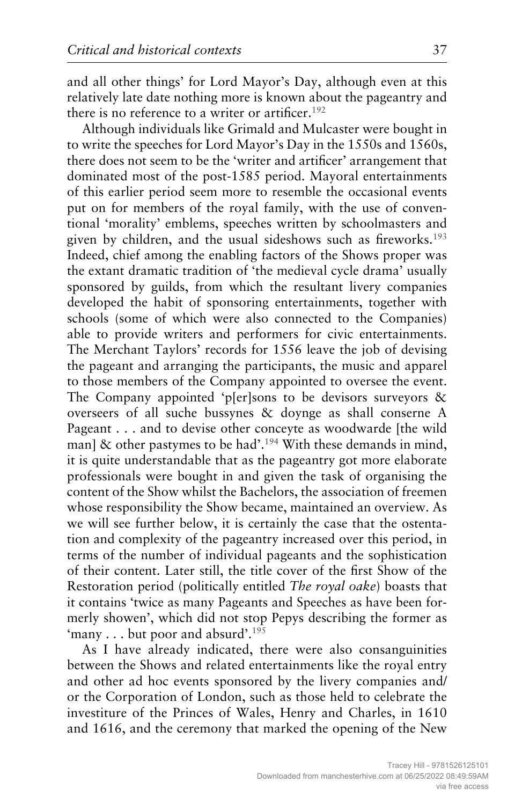and all other things' for Lord Mayor's Day, although even at this relatively late date nothing more is known about the pageantry and there is no reference to a writer or artificer.  $192$ 

Although individuals like Grimald and Mulcaster were bought in to write the speeches for Lord Mayor's Day in the 1550s and 1560s, there does not seem to be the 'writer and artificer' arrangement that dominated most of the post-1585 period. Mayoral entertainments of this earlier period seem more to resemble the occasional events put on for members of the royal family, with the use of conventional 'morality' emblems, speeches written by schoolmasters and given by children, and the usual sideshows such as fireworks.<sup>193</sup> Indeed, chief among the enabling factors of the Shows proper was the extant dramatic tradition of 'the medieval cycle drama' usually sponsored by guilds, from which the resultant livery companies developed the habit of sponsoring entertainments, together with schools (some of which were also connected to the Companies) able to provide writers and performers for civic entertainments. The Merchant Taylors' records for 1556 leave the job of devising the pageant and arranging the participants, the music and apparel to those members of the Company appointed to oversee the event. The Company appointed 'p[er]sons to be devisors surveyors  $\&$ overseers of all suche bussynes & doynge as shall conserne A Pageant . . . and to devise other conceyte as woodwarde [the wild man] & other pastymes to be had'.<sup>194</sup> With these demands in mind, it is quite understandable that as the pageantry got more elaborate professionals were bought in and given the task of organising the content of the Show whilst the Bachelors, the association of freemen whose responsibility the Show became, maintained an overview. As we will see further below, it is certainly the case that the ostentation and complexity of the pageantry increased over this period, in terms of the number of individual pageants and the sophistication of their content. Later still, the title cover of the first Show of the Restoration period (politically entitled *The royal oake*) boasts that it contains 'twice as many Pageants and Speeches as have been formerly showen', which did not stop Pepys describing the former as 'many . . . but poor and absurd'.195

As I have already indicated, there were also consanguinities between the Shows and related entertainments like the royal entry and other ad hoc events sponsored by the livery companies and/ or the Corporation of London, such as those held to celebrate the investiture of the Princes of Wales, Henry and Charles, in 1610 and 1616, and the ceremony that marked the opening of the New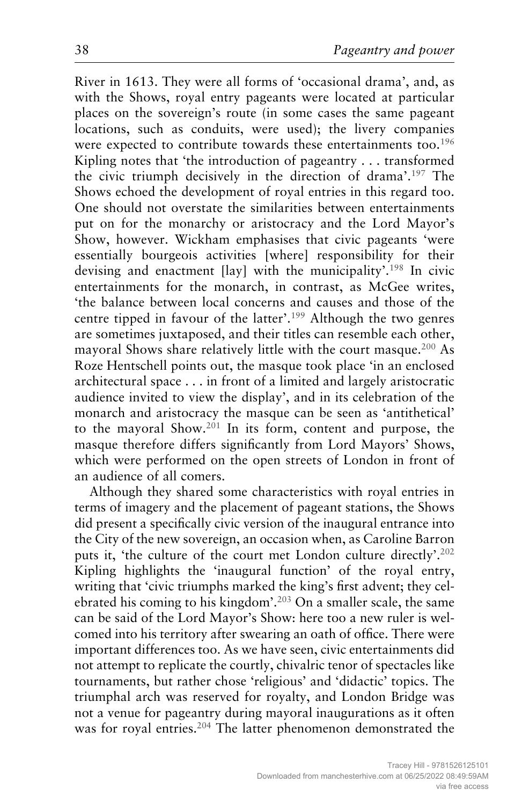River in 1613. They were all forms of 'occasional drama', and, as with the Shows, royal entry pageants were located at particular places on the sovereign's route (in some cases the same pageant locations, such as conduits, were used); the livery companies were expected to contribute towards these entertainments too.<sup>196</sup> Kipling notes that 'the introduction of pageantry . . . transformed the civic triumph decisively in the direction of drama'.197 The Shows echoed the development of royal entries in this regard too. One should not overstate the similarities between entertainments put on for the monarchy or aristocracy and the Lord Mayor's Show, however. Wickham emphasises that civic pageants 'were essentially bourgeois activities [where] responsibility for their devising and enactment [lay] with the municipality'.198 In civic entertainments for the monarch, in contrast, as McGee writes, 'the balance between local concerns and causes and those of the centre tipped in favour of the latter'.199 Although the two genres are sometimes juxtaposed, and their titles can resemble each other, mayoral Shows share relatively little with the court masque.200 As Roze Hentschell points out, the masque took place 'in an enclosed architectural space . . . in front of a limited and largely aristocratic audience invited to view the display', and in its celebration of the monarch and aristocracy the masque can be seen as 'antithetical' to the mayoral Show.201 In its form, content and purpose, the masque therefore differs significantly from Lord Mayors' Shows, which were performed on the open streets of London in front of an audience of all comers.

Although they shared some characteristics with royal entries in terms of imagery and the placement of pageant stations, the Shows did present a specifically civic version of the inaugural entrance into the City of the new sovereign, an occasion when, as Caroline Barron puts it, 'the culture of the court met London culture directly'.202 Kipling highlights the 'inaugural function' of the royal entry, writing that 'civic triumphs marked the king's first advent; they celebrated his coming to his kingdom'.203 On a smaller scale, the same can be said of the Lord Mayor's Show: here too a new ruler is welcomed into his territory after swearing an oath of office. There were important differences too. As we have seen, civic entertainments did not attempt to replicate the courtly, chivalric tenor of spectacles like tournaments, but rather chose 'religious' and 'didactic' topics. The triumphal arch was reserved for royalty, and London Bridge was not a venue for pageantry during mayoral inaugurations as it often was for royal entries.<sup>204</sup> The latter phenomenon demonstrated the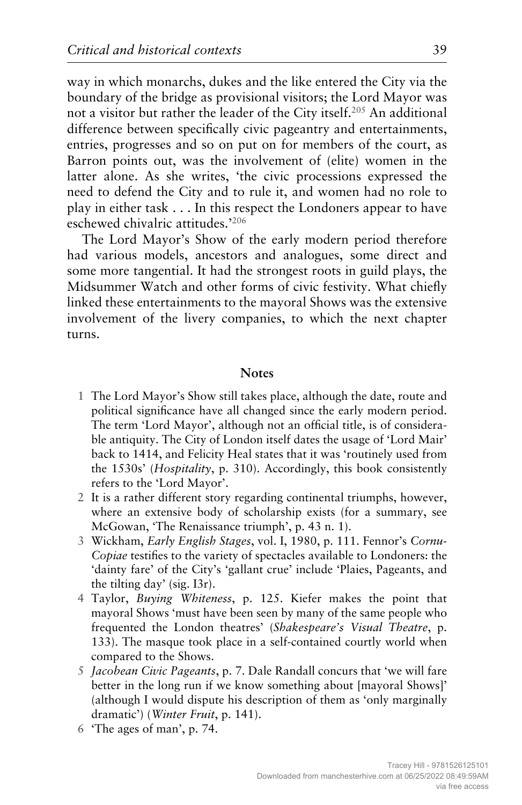way in which monarchs, dukes and the like entered the City via the boundary of the bridge as provisional visitors; the Lord Mayor was not a visitor but rather the leader of the City itself.205 An additional difference between specifically civic pageantry and entertainments, entries, progresses and so on put on for members of the court, as Barron points out, was the involvement of (elite) women in the latter alone. As she writes, 'the civic processions expressed the need to defend the City and to rule it, and women had no role to play in either task . . . In this respect the Londoners appear to have eschewed chivalric attitudes.'206

The Lord Mayor's Show of the early modern period therefore had various models, ancestors and analogues, some direct and some more tangential. It had the strongest roots in guild plays, the Midsummer Watch and other forms of civic festivity. What chiefly linked these entertainments to the mayoral Shows was the extensive involvement of the livery companies, to which the next chapter turns.

## **Notes**

- 1 The Lord Mayor's Show still takes place, although the date, route and political significance have all changed since the early modern period. The term 'Lord Mayor', although not an official title, is of considerable antiquity. The City of London itself dates the usage of 'Lord Mair' back to 1414, and Felicity Heal states that it was 'routinely used from the 1530s' (*Hospitality*, p. 310). Accordingly, this book consistently refers to the 'Lord Mayor'.
- 2 It is a rather different story regarding continental triumphs, however, where an extensive body of scholarship exists (for a summary, see McGowan, 'The Renaissance triumph', p. 43 n. 1).
- 3 Wickham, *Early English Stages*, vol. I, 1980, p. 111. Fennor's *Cornu-Copiae* testifies to the variety of spectacles available to Londoners: the 'dainty fare' of the City's 'gallant crue' include 'Plaies, Pageants, and the tilting day' (sig. I3r).
- 4 Taylor, *Buying Whiteness*, p. 125. Kiefer makes the point that mayoral Shows 'must have been seen by many of the same people who frequented the London theatres' (*Shakespeare's Visual Theatre*, p. 133). The masque took place in a self- contained courtly world when compared to the Shows.
- 5 *Jacobean Civic Pageants*, p. 7. Dale Randall concurs that 'we will fare better in the long run if we know something about [mayoral Shows]' (although I would dispute his description of them as 'only marginally dramatic') (*Winter Fruit*, p. 141).
- 6 'The ages of man', p. 74.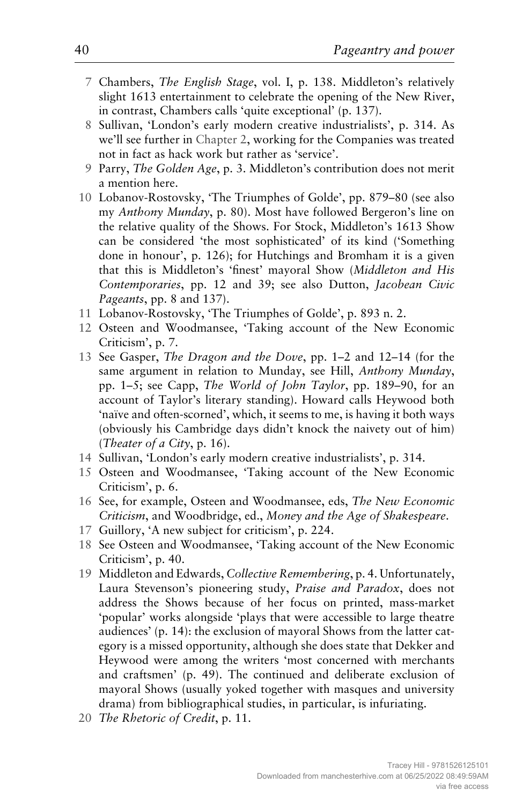- 7 Chambers, *The English Stage*, vol. I, p. 138. Middleton's relatively slight 1613 entertainment to celebrate the opening of the New River, in contrast, Chambers calls 'quite exceptional' (p. 137).
- 8 Sullivan, 'London's early modern creative industrialists', p. 314. As we'll see further in Chapter 2, working for the Companies was treated not in fact as hack work but rather as 'service'.
- 9 Parry, *The Golden Age*, p. 3. Middleton's contribution does not merit a mention here.
- 10 Lobanov- Rostovsky, 'The Triumphes of Golde', pp. 879–80 (see also my *Anthony Munday*, p. 80). Most have followed Bergeron's line on the relative quality of the Shows. For Stock, Middleton's 1613 Show can be considered 'the most sophisticated' of its kind ('Something done in honour', p. 126); for Hutchings and Bromham it is a given that this is Middleton's 'finest' mayoral Show (*Middleton and His Contemporaries*, pp. 12 and 39; see also Dutton, *Jacobean Civic Pageants*, pp. 8 and 137).
- 11 Lobanov-Rostovsky, 'The Triumphes of Golde', p. 893 n. 2.
- 12 Osteen and Woodmansee, 'Taking account of the New Economic Criticism', p. 7.
- 13 See Gasper, *The Dragon and the Dove*, pp. 1–2 and 12–14 (for the same argument in relation to Munday, see Hill, *Anthony Munday*, pp. 1–5; see Capp, *The World of John Taylor*, pp. 189–90, for an account of Taylor's literary standing). Howard calls Heywood both 'naïve and often-scorned', which, it seems to me, is having it both ways (obviously his Cambridge days didn't knock the naivety out of him) (*Theater of a City*, p. 16).
- 14 Sullivan, 'London's early modern creative industrialists', p. 314.
- 15 Osteen and Woodmansee, 'Taking account of the New Economic Criticism', p. 6.
- 16 See, for example, Osteen and Woodmansee, eds, *The New Economic Criticism*, and Woodbridge, ed., *Money and the Age of Shakespeare*.
- 17 Guillory, 'A new subject for criticism', p. 224.
- 18 See Osteen and Woodmansee, 'Taking account of the New Economic Criticism', p. 40.
- 19 Middleton and Edwards, *Collective Remembering*, p. 4. Unfortunately, Laura Stevenson's pioneering study, *Praise and Paradox*, does not address the Shows because of her focus on printed, mass-market 'popular' works alongside 'plays that were accessible to large theatre audiences' (p. 14): the exclusion of mayoral Shows from the latter category is a missed opportunity, although she does state that Dekker and Heywood were among the writers 'most concerned with merchants and craftsmen' (p. 49). The continued and deliberate exclusion of mayoral Shows (usually yoked together with masques and university drama) from bibliographical studies, in particular, is infuriating.
- 20 *The Rhetoric of Credit*, p. 11.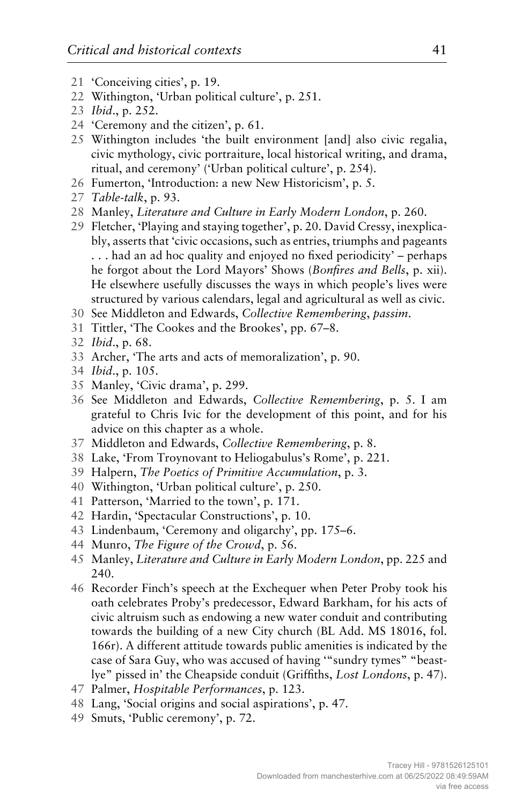- 21 'Conceiving cities', p. 19.
- 22 Withington, 'Urban political culture', p. 251.
- 23 *Ibid*., p. 252.
- 24 'Ceremony and the citizen', p. 61.
- 25 Withington includes 'the built environment [and] also civic regalia, civic mythology, civic portraiture, local historical writing, and drama, ritual, and ceremony' ('Urban political culture', p. 254).
- 26 Fumerton, 'Introduction: a new New Historicism', p. 5.
- 27 *Table- talk*, p. 93.
- 28 Manley, *Literature and Culture in Early Modern London*, p. 260.
- 29 Fletcher, 'Playing and staying together', p. 20. David Cressy, inexplicably, asserts that 'civic occasions, such as entries, triumphs and pageants  $\ldots$  had an ad hoc quality and enjoyed no fixed periodicity' – perhaps he forgot about the Lord Mayors' Shows (*Bonfires and Bells*, p. xii). He elsewhere usefully discusses the ways in which people's lives were structured by various calendars, legal and agricultural as well as civic.
- 30 See Middleton and Edwards, *Collective Remembering*, *passim*.
- 31 Tittler, 'The Cookes and the Brookes', pp. 67–8.
- 32 *Ibid*., p. 68.
- 33 Archer, 'The arts and acts of memoralization', p. 90.
- 34 *Ibid*., p. 105.
- 35 Manley, 'Civic drama', p. 299.
- 36 See Middleton and Edwards, *Collective Remembering*, p. 5. I am grateful to Chris Ivic for the development of this point, and for his advice on this chapter as a whole.
- 37 Middleton and Edwards, *Collective Remembering*, p. 8.
- 38 Lake, 'From Troynovant to Heliogabulus's Rome', p. 221.
- 39 Halpern, *The Poetics of Primitive Accumulation*, p. 3.
- 40 Withington, 'Urban political culture', p. 250.
- 41 Patterson, 'Married to the town', p. 171.
- 42 Hardin, 'Spectacular Constructions', p. 10.
- 43 Lindenbaum, 'Ceremony and oligarchy', pp. 175–6.
- 44 Munro, *The Figure of the Crowd*, p. 56.
- 45 Manley, *Literature and Culture in Early Modern London*, pp. 225 and 240.
- 46 Recorder Finch's speech at the Exchequer when Peter Proby took his oath celebrates Proby's predecessor, Edward Barkham, for his acts of civic altruism such as endowing a new water conduit and contributing towards the building of a new City church (BL Add. MS 18016, fol. 166r). A different attitude towards public amenities is indicated by the case of Sara Guy, who was accused of having '"sundry tymes" "beastlye" pissed in' the Cheapside conduit (Griffiths, *Lost Londons*, p. 47).
- 47 Palmer, *Hospitable Performances*, p. 123.
- 48 Lang, 'Social origins and social aspirations', p. 47.
- 49 Smuts, 'Public ceremony', p. 72.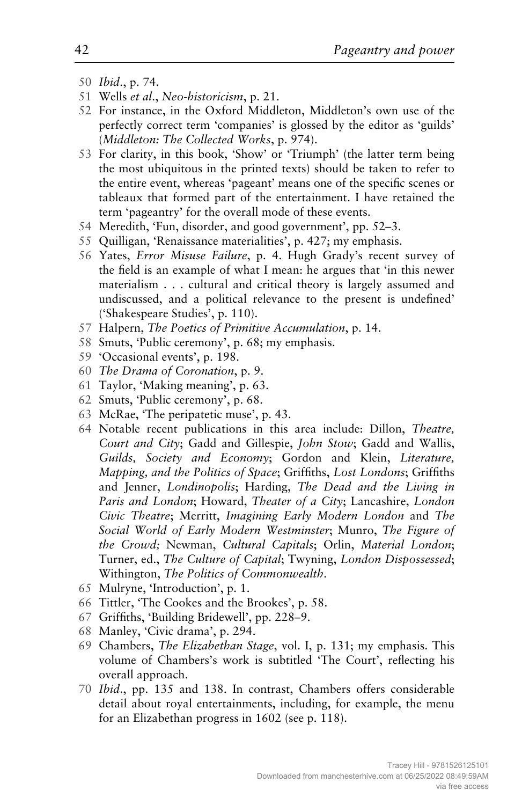- 50 *Ibid*., p. 74.
- 51 Wells *et al*., *Neo- historicism*, p. 21.
- 52 For instance, in the Oxford Middleton, Middleton's own use of the perfectly correct term 'companies' is glossed by the editor as 'guilds' (*Middleton: The Collected Works*, p. 974).
- 53 For clarity, in this book, 'Show' or 'Triumph' (the latter term being the most ubiquitous in the printed texts) should be taken to refer to the entire event, whereas 'pageant' means one of the specific scenes or tableaux that formed part of the entertainment. I have retained the term 'pageantry' for the overall mode of these events.
- 54 Meredith, 'Fun, disorder, and good government', pp. 52–3.
- 55 Quilligan, 'Renaissance materialities', p. 427; my emphasis.
- 56 Yates, *Error Misuse Failure*, p. 4. Hugh Grady's recent survey of the field is an example of what I mean: he argues that 'in this newer materialism . . . cultural and critical theory is largely assumed and undiscussed, and a political relevance to the present is undefined' ('Shakespeare Studies', p. 110).
- 57 Halpern, *The Poetics of Primitive Accumulation*, p. 14.
- 58 Smuts, 'Public ceremony', p. 68; my emphasis.
- 59 'Occasional events', p. 198.
- 60 *The Drama of Coronation*, p. 9.
- 61 Taylor, 'Making meaning', p. 63.
- 62 Smuts, 'Public ceremony', p. 68.
- 63 McRae, 'The peripatetic muse', p. 43.
- 64 Notable recent publications in this area include: Dillon, *Theatre, Court and City*; Gadd and Gillespie, *John Stow*; Gadd and Wallis, *Guilds, Society and Economy*; Gordon and Klein, *Literature, Mapping, and the Politics of Space*; Griffiths, *Lost Londons*; Griffiths and Jenner, *Londinopolis*; Harding, *The Dead and the Living in Paris and London*; Howard, *Theater of a City*; Lancashire, *London Civic Theatre*; Merritt, *Imagining Early Modern London* and *The Social World of Early Modern Westminster*; Munro, *The Figure of the Crowd;* Newman, *Cultural Capitals*; Orlin, *Material London*; Turner, ed., *The Culture of Capital*; Twyning, *London Dispossessed*; Withington, *The Politics of Commonwealth*.
- 65 Mulryne, 'Introduction', p. 1.
- 66 Tittler, 'The Cookes and the Brookes', p. 58.
- 67 Griffiths, 'Building Bridewell', pp. 228-9.
- 68 Manley, 'Civic drama', p. 294.
- 69 Chambers, *The Elizabethan Stage*, vol. I, p. 131; my emphasis. This volume of Chambers's work is subtitled 'The Court', reflecting his overall approach.
- 70 *Ibid*., pp. 135 and 138. In contrast, Chambers offers considerable detail about royal entertainments, including, for example, the menu for an Elizabethan progress in 1602 (see p. 118).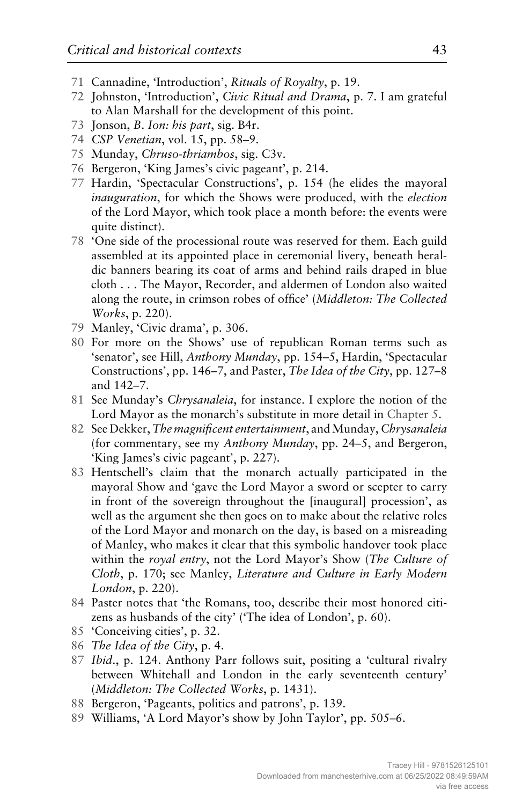- 71 Cannadine, 'Introduction', *Rituals of Royalty*, p. 19.
- 72 Johnston, 'Introduction', *Civic Ritual and Drama*, p. 7. I am grateful to Alan Marshall for the development of this point.
- 73 Jonson, *B*. *Ion: his part*, sig. B4r.
- 74 *CSP Venetian*, vol. 15, pp. 58–9.
- 75 Munday, *Chruso- thriambos*, sig. C3v.
- 76 Bergeron, 'King James's civic pageant', p. 214.
- 77 Hardin, 'Spectacular Constructions', p. 154 (he elides the mayoral *inauguration*, for which the Shows were produced, with the *election* of the Lord Mayor, which took place a month before: the events were quite distinct).
- 78 'One side of the processional route was reserved for them. Each guild assembled at its appointed place in ceremonial livery, beneath heraldic banners bearing its coat of arms and behind rails draped in blue cloth . . . The Mayor, Recorder, and aldermen of London also waited along the route, in crimson robes of office' (*Middleton: The Collected Works*, p. 220).
- 79 Manley, 'Civic drama', p. 306.
- 80 For more on the Shows' use of republican Roman terms such as 'senator', see Hill, *Anthony Munday*, pp. 154–5, Hardin, 'Spectacular Constructions', pp. 146–7, and Paster, *The Idea of the City*, pp. 127–8 and 142–7.
- 81 See Munday's *Chrysanaleia*, for instance. I explore the notion of the Lord Mayor as the monarch's substitute in more detail in Chapter 5.
- 82 See Dekker, *The magnificent entertainment*, and Munday, *Chrysanaleia* (for commentary, see my *Anthony Munday*, pp. 24–5, and Bergeron, 'King James's civic pageant', p. 227).
- 83 Hentschell's claim that the monarch actually participated in the mayoral Show and 'gave the Lord Mayor a sword or scepter to carry in front of the sovereign throughout the [inaugural] procession', as well as the argument she then goes on to make about the relative roles of the Lord Mayor and monarch on the day, is based on a misreading of Manley, who makes it clear that this symbolic handover took place within the *royal entry*, not the Lord Mayor's Show (*The Culture of Cloth*, p. 170; see Manley, *Literature and Culture in Early Modern London*, p. 220).
- 84 Paster notes that 'the Romans, too, describe their most honored citizens as husbands of the city' ('The idea of London', p. 60).
- 85 'Conceiving cities', p. 32.
- 86 *The Idea of the City*, p. 4.
- 87 *Ibid*., p. 124. Anthony Parr follows suit, positing a 'cultural rivalry between Whitehall and London in the early seventeenth century' (*Middleton: The Collected Works*, p. 1431).
- 88 Bergeron, 'Pageants, politics and patrons', p. 139.
- 89 Williams, 'A Lord Mayor's show by John Taylor', pp. 505–6.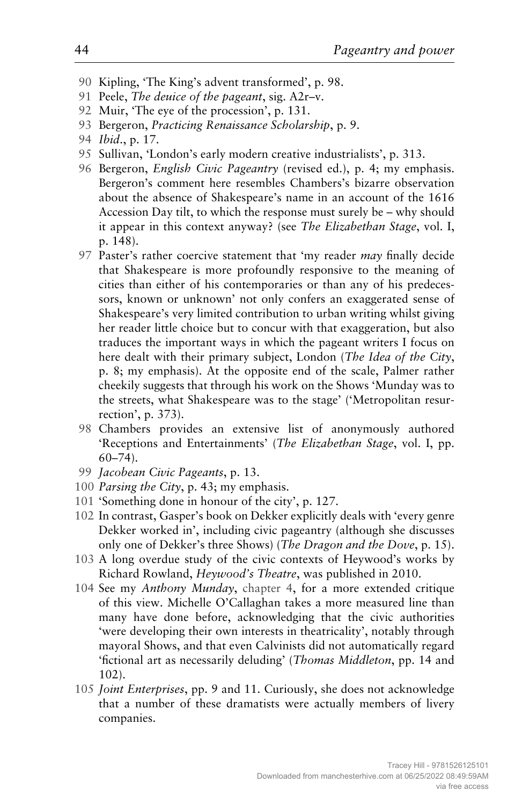- 90 Kipling, 'The King's advent transformed', p. 98.
- 91 Peele, *The deuice of the pageant*, sig. A2r–v.
- 92 Muir, 'The eye of the procession', p. 131.
- 93 Bergeron, *Practicing Renaissance Scholarship*, p. 9.
- 94 *Ibid*., p. 17.
- 95 Sullivan, 'London's early modern creative industrialists', p. 313.
- 96 Bergeron, *English Civic Pageantry* (revised ed.), p. 4; my emphasis. Bergeron's comment here resembles Chambers's bizarre observation about the absence of Shakespeare's name in an account of the 1616 Accession Day tilt, to which the response must surely be – why should it appear in this context anyway? (see *The Elizabethan Stage*, vol. I, p. 148).
- 97 Paster's rather coercive statement that 'my reader *may* finally decide that Shakespeare is more profoundly responsive to the meaning of cities than either of his contemporaries or than any of his predecessors, known or unknown' not only confers an exaggerated sense of Shakespeare's very limited contribution to urban writing whilst giving her reader little choice but to concur with that exaggeration, but also traduces the important ways in which the pageant writers I focus on here dealt with their primary subject, London (*The Idea of the City*, p. 8; my emphasis). At the opposite end of the scale, Palmer rather cheekily suggests that through his work on the Shows 'Munday was to the streets, what Shakespeare was to the stage' ('Metropolitan resurrection', p. 373).
- 98 Chambers provides an extensive list of anonymously authored 'Receptions and Entertainments' (*The Elizabethan Stage*, vol. I, pp. 60–74).
- 99 *Jacobean Civic Pageants*, p. 13.
- 100 *Parsing the City*, p. 43; my emphasis.
- 101 'Something done in honour of the city', p. 127.
- 102 In contrast, Gasper's book on Dekker explicitly deals with 'every genre Dekker worked in', including civic pageantry (although she discusses only one of Dekker's three Shows) (*The Dragon and the Dove*, p. 15).
- 103 A long overdue study of the civic contexts of Heywood's works by Richard Rowland, *Heywood's Theatre*, was published in 2010.
- 104 See my *Anthony Munday*, chapter 4, for a more extended critique of this view. Michelle O'Callaghan takes a more measured line than many have done before, acknowledging that the civic authorities 'were developing their own interests in theatricality', notably through mayoral Shows, and that even Calvinists did not automatically regard 'fictional art as necessarily deluding' (*Thomas Middleton*, pp. 14 and 102).
- 105 *Joint Enterprises*, pp. 9 and 11. Curiously, she does not acknowledge that a number of these dramatists were actually members of livery companies.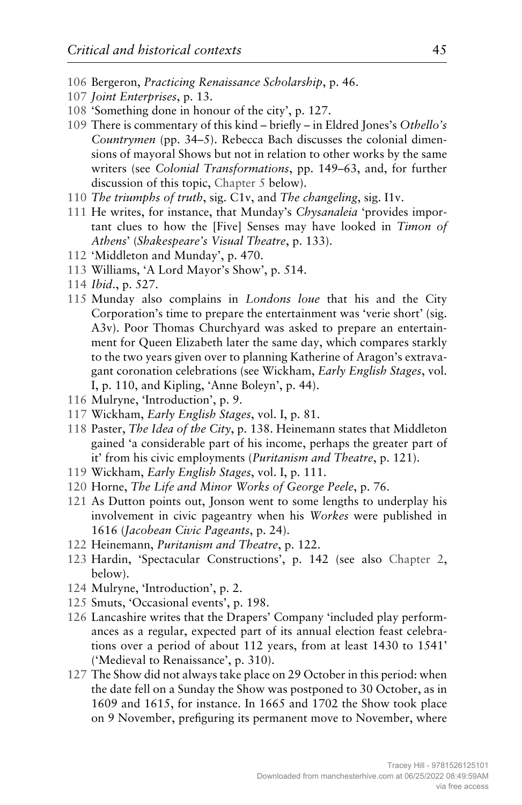- 106 Bergeron, *Practicing Renaissance Scholarship*, p. 46.
- 107 *Joint Enterprises*, p. 13.
- 108 'Something done in honour of the city', p. 127.
- 109 There is commentary of this kind briefly in Eldred Jones's Othello's *Countrymen* (pp. 34–5). Rebecca Bach discusses the colonial dimensions of mayoral Shows but not in relation to other works by the same writers (see *Colonial Transformations*, pp. 149–63, and, for further discussion of this topic, Chapter 5 below).
- 110 *The triumphs of truth*, sig. C1v, and *The changeling*, sig. I1v.
- 111 He writes, for instance, that Munday's *Chysanaleia* 'provides important clues to how the [Five] Senses may have looked in *Timon of Athens*' (*Shakespeare's Visual Theatre*, p. 133).
- 112 'Middleton and Munday', p. 470.
- 113 Williams, 'A Lord Mayor's Show', p. 514.
- 114 *Ibid*., p. 527.
- 115 Munday also complains in *Londons loue* that his and the City Corporation's time to prepare the entertainment was 'verie short' (sig. A3v). Poor Thomas Churchyard was asked to prepare an entertainment for Queen Elizabeth later the same day, which compares starkly to the two years given over to planning Katherine of Aragon's extravagant coronation celebrations (see Wickham, *Early English Stages*, vol. I, p. 110, and Kipling, 'Anne Boleyn', p. 44).
- 116 Mulryne, 'Introduction', p. 9.
- 117 Wickham, *Early English Stages*, vol. I, p. 81.
- 118 Paster, *The Idea of the City*, p. 138. Heinemann states that Middleton gained 'a considerable part of his income, perhaps the greater part of it' from his civic employments (*Puritanism and Theatre*, p. 121).
- 119 Wickham, *Early English Stages*, vol. I, p. 111.
- 120 Horne, *The Life and Minor Works of George Peele*, p. 76.
- 121 As Dutton points out, Jonson went to some lengths to underplay his involvement in civic pageantry when his *Workes* were published in 1616 (*Jacobean Civic Pageants*, p. 24).
- 122 Heinemann, *Puritanism and Theatre*, p. 122.
- 123 Hardin, 'Spectacular Constructions', p. 142 (see also Chapter 2, below).
- 124 Mulryne, 'Introduction', p. 2.
- 125 Smuts, 'Occasional events', p. 198.
- 126 Lancashire writes that the Drapers' Company 'included play performances as a regular, expected part of its annual election feast celebrations over a period of about 112 years, from at least 1430 to 1541' ('Medieval to Renaissance', p. 310).
- 127 The Show did not always take place on 29 October in this period: when the date fell on a Sunday the Show was postponed to 30 October, as in 1609 and 1615, for instance. In 1665 and 1702 the Show took place on 9 November, prefiguring its permanent move to November, where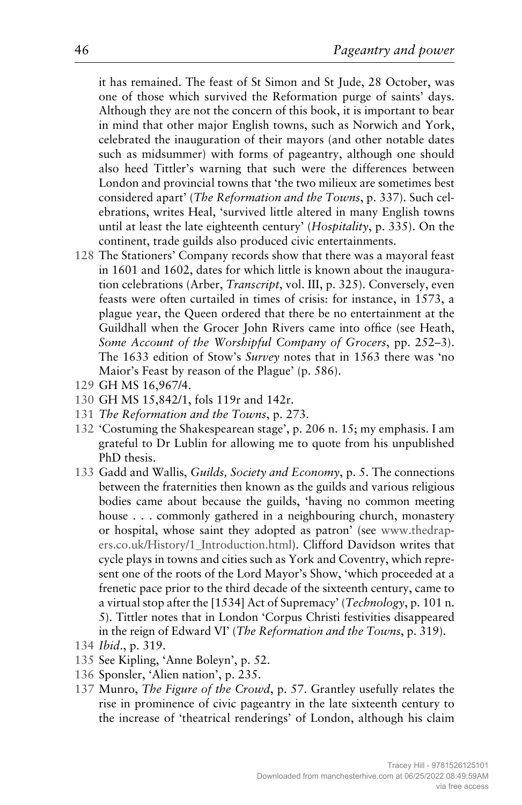it has remained. The feast of St Simon and St Jude, 28 October, was one of those which survived the Reformation purge of saints' days. Although they are not the concern of this book, it is important to bear in mind that other major English towns, such as Norwich and York, celebrated the inauguration of their mayors (and other notable dates such as midsummer) with forms of pageantry, although one should also heed Tittler's warning that such were the differences between London and provincial towns that 'the two milieux are sometimes best considered apart' (*The Reformation and the Towns*, p. 337). Such celebrations, writes Heal, 'survived little altered in many English towns until at least the late eighteenth century' (*Hospitality*, p. 335). On the continent, trade guilds also produced civic entertainments.

- 128 The Stationers' Company records show that there was a mayoral feast in 1601 and 1602, dates for which little is known about the inauguration celebrations (Arber, *Transcript*, vol. III, p. 325). Conversely, even feasts were often curtailed in times of crisis: for instance, in 1573, a plague year, the Queen ordered that there be no entertainment at the Guildhall when the Grocer John Rivers came into office (see Heath, *Some Account of the Worshipful Company of Grocers*, pp. 252–3). The 1633 edition of Stow's *Survey* notes that in 1563 there was 'no Maior's Feast by reason of the Plague' (p. 586).
- 129 GH MS 16,967/4.
- 130 GH MS 15,842/1, fols 119r and 142r.
- 131 *The Reformation and the Towns*, p. 273.
- 132 'Costuming the Shakespearean stage', p. 206 n. 15; my emphasis. I am grateful to Dr Lublin for allowing me to quote from his unpublished PhD thesis.
- 133 Gadd and Wallis, *Guilds, Society and Economy*, p. 5. The connections between the fraternities then known as the guilds and various religious bodies came about because the guilds, 'having no common meeting house . . . commonly gathered in a neighbouring church, monastery or hospital, whose saint they adopted as patron' (see www.thedrapers.co.uk/History/1\_Introduction.html). Clifford Davidson writes that cycle plays in towns and cities such as York and Coventry, which represent one of the roots of the Lord Mayor's Show, 'which proceeded at a frenetic pace prior to the third decade of the sixteenth century, came to a virtual stop after the [1534] Act of Supremacy' (*Technology*, p. 101 n. 5). Tittler notes that in London 'Corpus Christi festivities disappeared in the reign of Edward VI' (*The Reformation and the Towns*, p. 319).
- 134 *Ibid*., p. 319.
- 135 See Kipling, 'Anne Boleyn', p. 52.
- 136 Sponsler, 'Alien nation', p. 235.
- 137 Munro, *The Figure of the Crowd*, p. 57. Grantley usefully relates the rise in prominence of civic pageantry in the late sixteenth century to the increase of 'theatrical renderings' of London, although his claim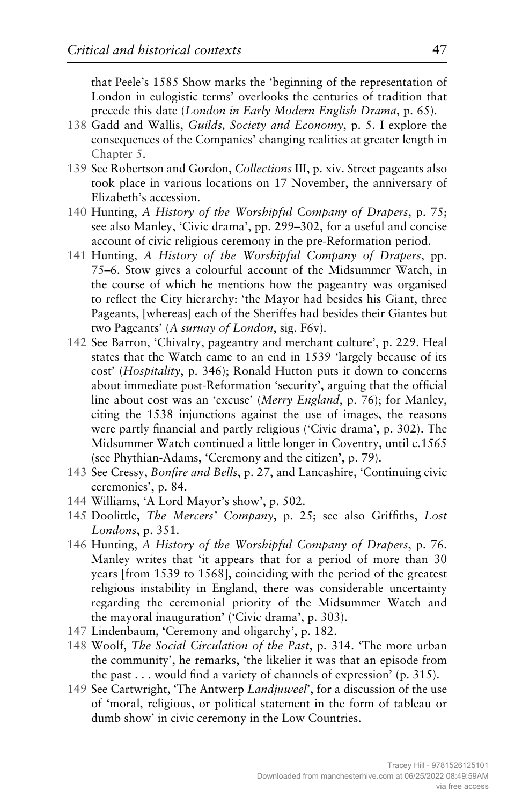that Peele's 1585 Show marks the 'beginning of the representation of London in eulogistic terms' overlooks the centuries of tradition that precede this date (*London in Early Modern English Drama*, p. 65).

- 138 Gadd and Wallis, *Guilds, Society and Economy*, p. 5. I explore the consequences of the Companies' changing realities at greater length in Chapter 5.
- 139 See Robertson and Gordon, *Collections* III, p. xiv. Street pageants also took place in various locations on 17 November, the anniversary of Elizabeth's accession.
- 140 Hunting, *A History of the Worshipful Company of Drapers*, p. 75; see also Manley, 'Civic drama', pp. 299–302, for a useful and concise account of civic religious ceremony in the pre- Reformation period.
- 141 Hunting, *A History of the Worshipful Company of Drapers*, pp. 75–6. Stow gives a colourful account of the Midsummer Watch, in the course of which he mentions how the pageantry was organised to reflect the City hierarchy: 'the Mayor had besides his Giant, three Pageants, [whereas] each of the Sheriffes had besides their Giantes but two Pageants' (*A suruay of London*, sig. F6v).
- 142 See Barron, 'Chivalry, pageantry and merchant culture', p. 229. Heal states that the Watch came to an end in 1539 'largely because of its cost' (*Hospitality*, p. 346); Ronald Hutton puts it down to concerns about immediate post-Reformation 'security', arguing that the official line about cost was an 'excuse' (*Merry England*, p. 76); for Manley, citing the 1538 injunctions against the use of images, the reasons were partly financial and partly religious ('Civic drama', p. 302). The Midsummer Watch continued a little longer in Coventry, until c.1565 (see Phythian- Adams, 'Ceremony and the citizen', p. 79).
- 143 See Cressy, *Bonfire and Bells*, p. 27, and Lancashire, 'Continuing civic ceremonies', p. 84.
- 144 Williams, 'A Lord Mayor's show', p. 502.
- 145 Doolittle, *The Mercers' Company*, p. 25; see also Griffiths, *Lost Londons*, p. 351.
- 146 Hunting, *A History of the Worshipful Company of Drapers*, p. 76. Manley writes that 'it appears that for a period of more than 30 years [from 1539 to 1568], coinciding with the period of the greatest religious instability in England, there was considerable uncertainty regarding the ceremonial priority of the Midsummer Watch and the mayoral inauguration' ('Civic drama', p. 303).
- 147 Lindenbaum, 'Ceremony and oligarchy', p. 182.
- 148 Woolf, *The Social Circulation of the Past*, p. 314. 'The more urban the community', he remarks, 'the likelier it was that an episode from the past  $\dots$  would find a variety of channels of expression' (p. 315).
- 149 See Cartwright, 'The Antwerp *Landjuweel*', for a discussion of the use of 'moral, religious, or political statement in the form of tableau or dumb show' in civic ceremony in the Low Countries.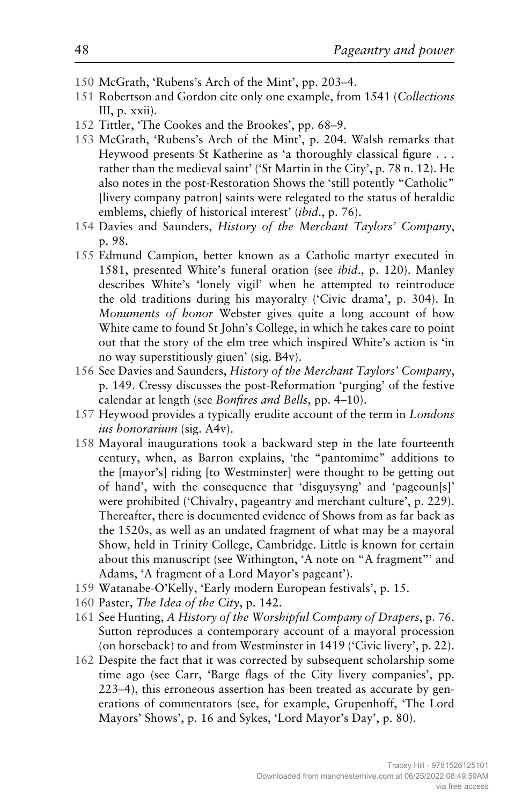- 150 McGrath, 'Rubens's Arch of the Mint', pp. 203–4.
- 151 Robertson and Gordon cite only one example, from 1541 (*Collections* III, p. xxii).
- 152 Tittler, 'The Cookes and the Brookes', pp. 68–9.
- 153 McGrath, 'Rubens's Arch of the Mint', p. 204. Walsh remarks that Heywood presents St Katherine as 'a thoroughly classical figure . . . rather than the medieval saint' ('St Martin in the City', p. 78 n. 12). He also notes in the post-Restoration Shows the 'still potently "Catholic" [livery company patron] saints were relegated to the status of heraldic emblems, chiefly of historical interest' (*ibid.*, p. 76).
- 154 Davies and Saunders, *History of the Merchant Taylors' Company*, p. 98.
- 155 Edmund Campion, better known as a Catholic martyr executed in 1581, presented White's funeral oration (see *ibid*., p. 120). Manley describes White's 'lonely vigil' when he attempted to reintroduce the old traditions during his mayoralty ('Civic drama', p. 304). In *Monuments of honor* Webster gives quite a long account of how White came to found St John's College, in which he takes care to point out that the story of the elm tree which inspired White's action is 'in no way superstitiously giuen' (sig. B4v).
- 156 See Davies and Saunders, *History of the Merchant Taylors' Company*, p. 149. Cressy discusses the post- Reformation 'purging' of the festive calendar at length (see *Bonfires and Bells*, pp. 4–10).
- 157 Heywood provides a typically erudite account of the term in *Londons ius honorarium* (sig. A4v).
- 158 Mayoral inaugurations took a backward step in the late fourteenth century, when, as Barron explains, 'the "pantomime" additions to the [mayor's] riding [to Westminster] were thought to be getting out of hand', with the consequence that 'disguysyng' and 'pageoun[s]' were prohibited ('Chivalry, pageantry and merchant culture', p. 229). Thereafter, there is documented evidence of Shows from as far back as the 1520s, as well as an undated fragment of what may be a mayoral Show, held in Trinity College, Cambridge. Little is known for certain about this manuscript (see Withington, 'A note on "A fragment"' and Adams, 'A fragment of a Lord Mayor's pageant').
- 159 Watanabe-O'Kelly, 'Early modern European festivals', p. 15.
- 160 Paster, *The Idea of the City*, p. 142.
- 161 See Hunting, *A History of the Worshipful Company of Drapers*, p. 76. Sutton reproduces a contemporary account of a mayoral procession (on horseback) to and from Westminster in 1419 ('Civic livery', p. 22).
- 162 Despite the fact that it was corrected by subsequent scholarship some time ago (see Carr, 'Barge flags of the City livery companies', pp. 223–4), this erroneous assertion has been treated as accurate by generations of commentators (see, for example, Grupenhoff, 'The Lord Mayors' Shows', p. 16 and Sykes, 'Lord Mayor's Day', p. 80).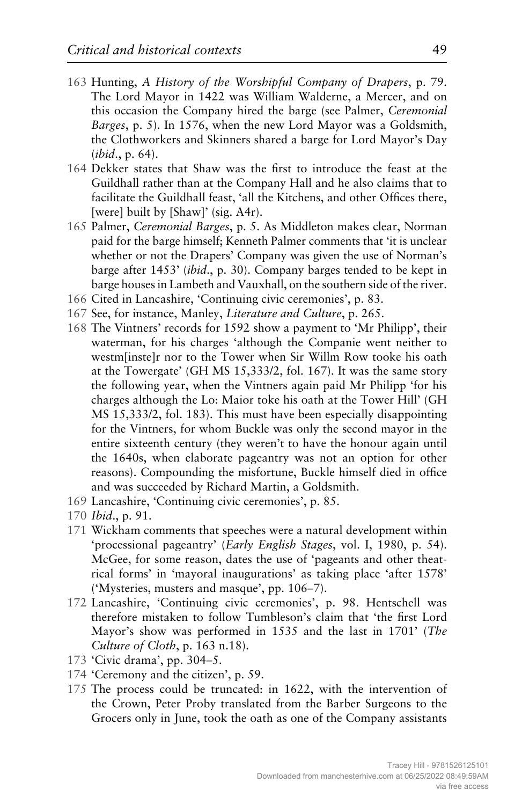- 163 Hunting, *A History of the Worshipful Company of Drapers*, p. 79. The Lord Mayor in 1422 was William Walderne, a Mercer, and on this occasion the Company hired the barge (see Palmer, *Ceremonial Barges*, p. 5). In 1576, when the new Lord Mayor was a Goldsmith, the Clothworkers and Skinners shared a barge for Lord Mayor's Day (*ibid*., p. 64).
- 164 Dekker states that Shaw was the first to introduce the feast at the Guildhall rather than at the Company Hall and he also claims that to facilitate the Guildhall feast, 'all the Kitchens, and other Offices there, [were] built by [Shaw]' (sig. A4r).
- 165 Palmer, *Ceremonial Barges*, p. 5. As Middleton makes clear, Norman paid for the barge himself; Kenneth Palmer comments that 'it is unclear whether or not the Drapers' Company was given the use of Norman's barge after 1453' (*ibid*., p. 30). Company barges tended to be kept in barge houses in Lambeth and Vauxhall, on the southern side of the river.
- 166 Cited in Lancashire, 'Continuing civic ceremonies', p. 83.
- 167 See, for instance, Manley, *Literature and Culture*, p. 265.
- 168 The Vintners' records for 1592 show a payment to 'Mr Philipp', their waterman, for his charges 'although the Companie went neither to westm[inste]r nor to the Tower when Sir Willm Row tooke his oath at the Towergate' (GH MS 15,333/2, fol. 167). It was the same story the following year, when the Vintners again paid Mr Philipp 'for his charges although the Lo: Maior toke his oath at the Tower Hill' (GH MS 15,333/2, fol. 183). This must have been especially disappointing for the Vintners, for whom Buckle was only the second mayor in the entire sixteenth century (they weren't to have the honour again until the 1640s, when elaborate pageantry was not an option for other reasons). Compounding the misfortune, Buckle himself died in office and was succeeded by Richard Martin, a Goldsmith.
- 169 Lancashire, 'Continuing civic ceremonies', p. 85.
- 170 *Ibid*., p. 91.
- 171 Wickham comments that speeches were a natural development within 'processional pageantry' (*Early English Stages*, vol. I, 1980, p. 54). McGee, for some reason, dates the use of 'pageants and other theatrical forms' in 'mayoral inaugurations' as taking place 'after 1578' ('Mysteries, musters and masque', pp. 106–7).
- 172 Lancashire, 'Continuing civic ceremonies', p. 98. Hentschell was therefore mistaken to follow Tumbleson's claim that 'the first Lord Mayor's show was performed in 1535 and the last in 1701' (*The Culture of Cloth*, p. 163 n.18).
- 173 'Civic drama', pp. 304–5.
- 174 'Ceremony and the citizen', p. 59.
- 175 The process could be truncated: in 1622, with the intervention of the Crown, Peter Proby translated from the Barber Surgeons to the Grocers only in June, took the oath as one of the Company assistants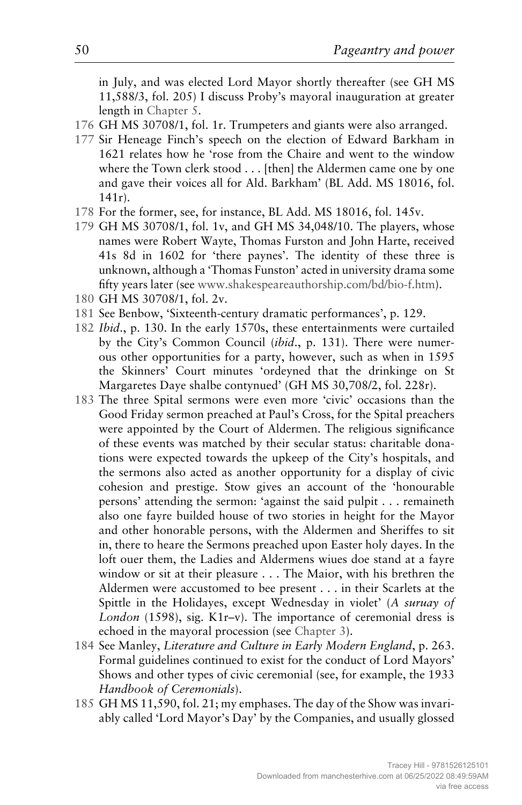in July, and was elected Lord Mayor shortly thereafter (see GH MS 11,588/3, fol. 205) I discuss Proby's mayoral inauguration at greater length in Chapter 5.

- 176 GH MS 30708/1, fol. 1r. Trumpeters and giants were also arranged.
- 177 Sir Heneage Finch's speech on the election of Edward Barkham in 1621 relates how he 'rose from the Chaire and went to the window where the Town clerk stood . . . [then] the Aldermen came one by one and gave their voices all for Ald. Barkham' (BL Add. MS 18016, fol. 141r).
- 178 For the former, see, for instance, BL Add. MS 18016, fol. 145v.
- 179 GH MS 30708/1, fol. 1v, and GH MS 34,048/10. The players, whose names were Robert Wayte, Thomas Furston and John Harte, received 41s 8d in 1602 for 'there paynes'. The identity of these three is unknown, although a 'Thomas Funston' acted in university drama some fifty years later (see www.shakespeareauthorship.com/bd/bio-f.htm).
- 180 GH MS 30708/1, fol. 2v.
- 181 See Benbow, 'Sixteenth- century dramatic performances', p. 129.
- 182 *Ibid*., p. 130. In the early 1570s, these entertainments were curtailed by the City's Common Council (*ibid*., p. 131). There were numerous other opportunities for a party, however, such as when in 1595 the Skinners' Court minutes 'ordeyned that the drinkinge on St Margaretes Daye shalbe contynued' (GH MS 30,708/2, fol. 228r).
- 183 The three Spital sermons were even more 'civic' occasions than the Good Friday sermon preached at Paul's Cross, for the Spital preachers were appointed by the Court of Aldermen. The religious significance of these events was matched by their secular status: charitable donations were expected towards the upkeep of the City's hospitals, and the sermons also acted as another opportunity for a display of civic cohesion and prestige. Stow gives an account of the 'honourable persons' attending the sermon: 'against the said pulpit . . . remaineth also one fayre builded house of two stories in height for the Mayor and other honorable persons, with the Aldermen and Sheriffes to sit in, there to heare the Sermons preached upon Easter holy dayes. In the loft ouer them, the Ladies and Aldermens wiues doe stand at a fayre window or sit at their pleasure . . . The Maior, with his brethren the Aldermen were accustomed to bee present . . . in their Scarlets at the Spittle in the Holidayes, except Wednesday in violet' (*A suruay of London* (1598), sig. K1r–v). The importance of ceremonial dress is echoed in the mayoral procession (see Chapter 3).
- 184 See Manley, *Literature and Culture in Early Modern England*, p. 263. Formal guidelines continued to exist for the conduct of Lord Mayors' Shows and other types of civic ceremonial (see, for example, the 1933 *Handbook of Ceremonials*).
- 185 GH MS 11,590, fol. 21; my emphases. The day of the Show was invariably called 'Lord Mayor's Day' by the Companies, and usually glossed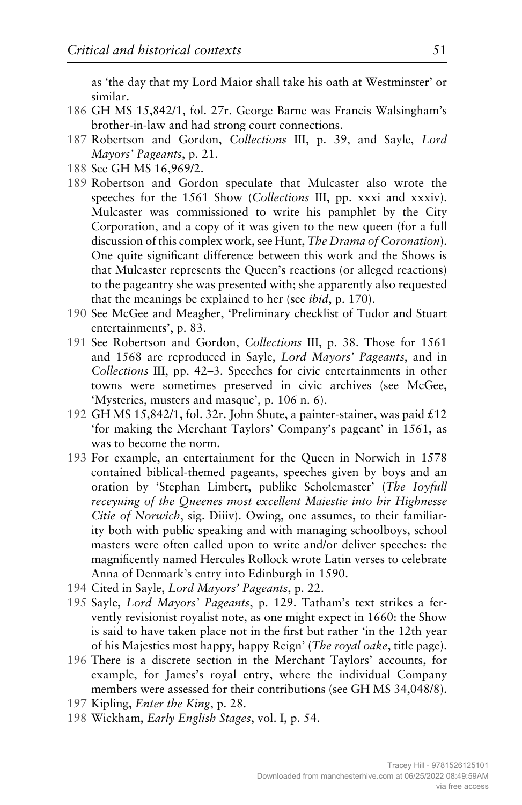as 'the day that my Lord Maior shall take his oath at Westminster' or similar.

- 186 GH MS 15,842/1, fol. 27r. George Barne was Francis Walsingham's brother-in-law and had strong court connections.
- 187 Robertson and Gordon, *Collections* III, p. 39, and Sayle, *Lord Mayors' Pageants*, p. 21.
- 188 See GH MS 16,969/2.
- 189 Robertson and Gordon speculate that Mulcaster also wrote the speeches for the 1561 Show (*Collections* III, pp. xxxi and xxxiv). Mulcaster was commissioned to write his pamphlet by the City Corporation, and a copy of it was given to the new queen (for a full discussion of this complex work, see Hunt, *The Drama of Coronation*). One quite significant difference between this work and the Shows is that Mulcaster represents the Queen's reactions (or alleged reactions) to the pageantry she was presented with; she apparently also requested that the meanings be explained to her (see *ibid*, p. 170).
- 190 See McGee and Meagher, 'Preliminary checklist of Tudor and Stuart entertainments', p. 83.
- 191 See Robertson and Gordon, *Collections* III, p. 38. Those for 1561 and 1568 are reproduced in Sayle, *Lord Mayors' Pageants*, and in *Collections* III, pp. 42–3. Speeches for civic entertainments in other towns were sometimes preserved in civic archives (see McGee, 'Mysteries, musters and masque', p. 106 n. 6).
- 192 GH MS 15,842/1, fol. 32r. John Shute, a painter-stainer, was paid  $£12$ 'for making the Merchant Taylors' Company's pageant' in 1561, as was to become the norm.
- 193 For example, an entertainment for the Queen in Norwich in 1578 contained biblical- themed pageants, speeches given by boys and an oration by 'Stephan Limbert, publike Scholemaster' (*The Ioyfull receyuing of the Queenes most excellent Maiestie into hir Highnesse Citie of Norwich*, sig. Diiiv). Owing, one assumes, to their familiarity both with public speaking and with managing schoolboys, school masters were often called upon to write and/or deliver speeches: the magnificently named Hercules Rollock wrote Latin verses to celebrate Anna of Denmark's entry into Edinburgh in 1590.
- 194 Cited in Sayle, *Lord Mayors' Pageants*, p. 22.
- 195 Sayle, *Lord Mayors' Pageants*, p. 129. Tatham's text strikes a fervently revisionist royalist note, as one might expect in 1660: the Show is said to have taken place not in the first but rather 'in the 12th year of his Majesties most happy, happy Reign' (*The royal oake*, title page).
- 196 There is a discrete section in the Merchant Taylors' accounts, for example, for James's royal entry, where the individual Company members were assessed for their contributions (see GH MS 34,048/8).
- 197 Kipling, *Enter the King*, p. 28.
- 198 Wickham, *Early English Stages*, vol. I, p. 54.